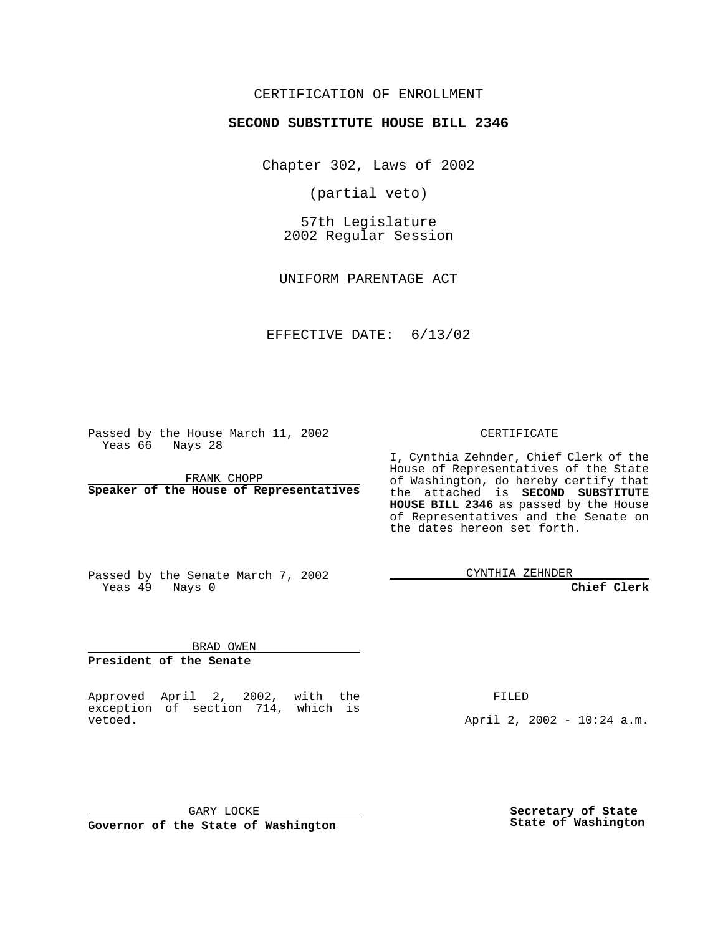#### CERTIFICATION OF ENROLLMENT

### **SECOND SUBSTITUTE HOUSE BILL 2346**

Chapter 302, Laws of 2002

(partial veto)

57th Legislature 2002 Regular Session

UNIFORM PARENTAGE ACT

EFFECTIVE DATE: 6/13/02

Passed by the House March 11, 2002 Yeas 66 Nays 28

FRANK CHOPP **Speaker of the House of Representatives** CERTIFICATE

I, Cynthia Zehnder, Chief Clerk of the House of Representatives of the State of Washington, do hereby certify that the attached is **SECOND SUBSTITUTE HOUSE BILL 2346** as passed by the House of Representatives and the Senate on the dates hereon set forth.

Passed by the Senate March 7, 2002 Yeas 49 Nays 0

CYNTHIA ZEHNDER

**Chief Clerk**

BRAD OWEN **President of the Senate**

Approved April 2, 2002, with the exception of section 714, which is vetoed.

FILED

April 2, 2002 - 10:24 a.m.

GARY LOCKE **Governor of the State of Washington** **Secretary of State State of Washington**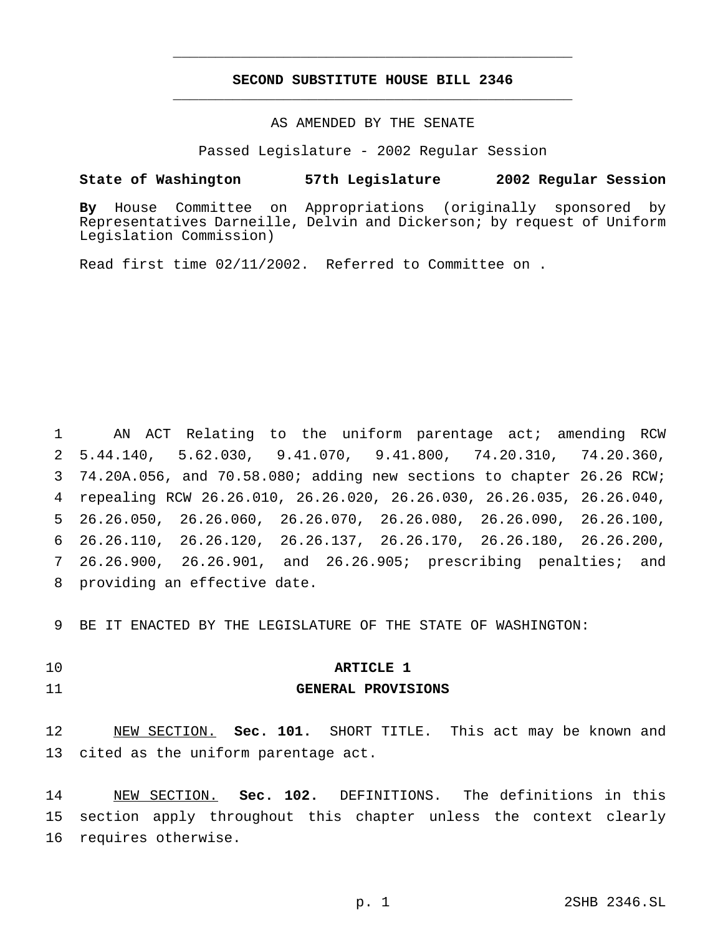### **SECOND SUBSTITUTE HOUSE BILL 2346** \_\_\_\_\_\_\_\_\_\_\_\_\_\_\_\_\_\_\_\_\_\_\_\_\_\_\_\_\_\_\_\_\_\_\_\_\_\_\_\_\_\_\_\_\_\_\_

\_\_\_\_\_\_\_\_\_\_\_\_\_\_\_\_\_\_\_\_\_\_\_\_\_\_\_\_\_\_\_\_\_\_\_\_\_\_\_\_\_\_\_\_\_\_\_

#### AS AMENDED BY THE SENATE

Passed Legislature - 2002 Regular Session

#### **State of Washington 57th Legislature 2002 Regular Session**

**By** House Committee on Appropriations (originally sponsored by Representatives Darneille, Delvin and Dickerson; by request of Uniform Legislation Commission)

Read first time 02/11/2002. Referred to Committee on .

 AN ACT Relating to the uniform parentage act; amending RCW 5.44.140, 5.62.030, 9.41.070, 9.41.800, 74.20.310, 74.20.360, 74.20A.056, and 70.58.080; adding new sections to chapter 26.26 RCW; repealing RCW 26.26.010, 26.26.020, 26.26.030, 26.26.035, 26.26.040, 26.26.050, 26.26.060, 26.26.070, 26.26.080, 26.26.090, 26.26.100, 26.26.110, 26.26.120, 26.26.137, 26.26.170, 26.26.180, 26.26.200, 26.26.900, 26.26.901, and 26.26.905; prescribing penalties; and providing an effective date.

9 BE IT ENACTED BY THE LEGISLATURE OF THE STATE OF WASHINGTON:

#### 10 **ARTICLE 1**

#### 11 **GENERAL PROVISIONS**

12 NEW SECTION. **Sec. 101.** SHORT TITLE. This act may be known and 13 cited as the uniform parentage act.

14 NEW SECTION. **Sec. 102.** DEFINITIONS. The definitions in this 15 section apply throughout this chapter unless the context clearly 16 requires otherwise.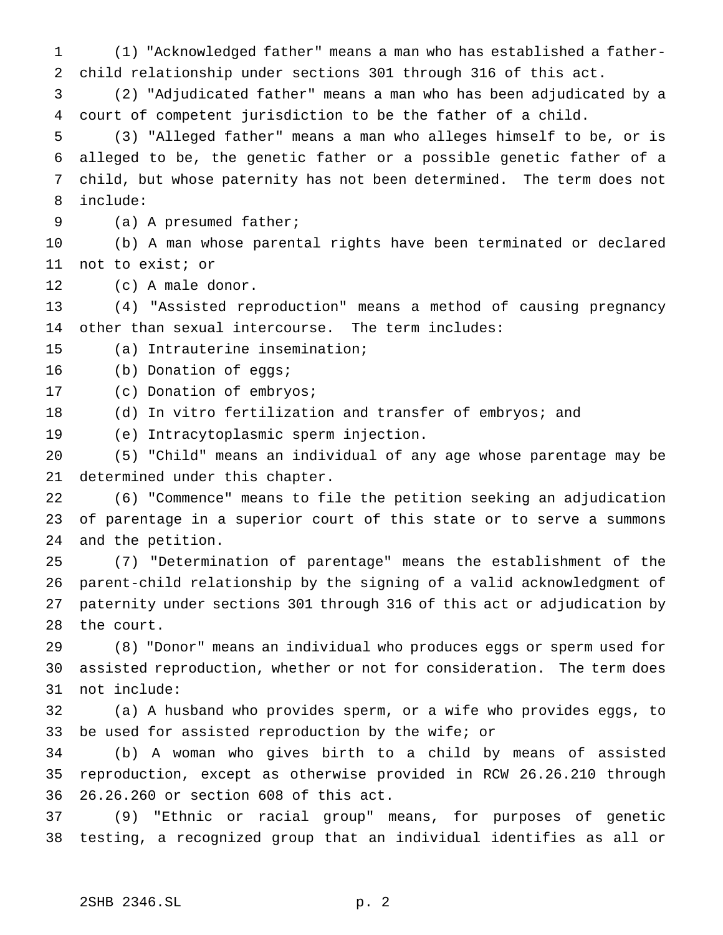(1) "Acknowledged father" means a man who has established a father- child relationship under sections 301 through 316 of this act. (2) "Adjudicated father" means a man who has been adjudicated by a court of competent jurisdiction to be the father of a child. (3) "Alleged father" means a man who alleges himself to be, or is alleged to be, the genetic father or a possible genetic father of a child, but whose paternity has not been determined. The term does not include: (a) A presumed father; (b) A man whose parental rights have been terminated or declared not to exist; or (c) A male donor. (4) "Assisted reproduction" means a method of causing pregnancy other than sexual intercourse. The term includes: (a) Intrauterine insemination; (b) Donation of eggs; (c) Donation of embryos; (d) In vitro fertilization and transfer of embryos; and (e) Intracytoplasmic sperm injection. (5) "Child" means an individual of any age whose parentage may be determined under this chapter. (6) "Commence" means to file the petition seeking an adjudication of parentage in a superior court of this state or to serve a summons and the petition. (7) "Determination of parentage" means the establishment of the parent-child relationship by the signing of a valid acknowledgment of paternity under sections 301 through 316 of this act or adjudication by the court. (8) "Donor" means an individual who produces eggs or sperm used for assisted reproduction, whether or not for consideration. The term does not include: (a) A husband who provides sperm, or a wife who provides eggs, to be used for assisted reproduction by the wife; or (b) A woman who gives birth to a child by means of assisted

 reproduction, except as otherwise provided in RCW 26.26.210 through 26.26.260 or section 608 of this act.

 (9) "Ethnic or racial group" means, for purposes of genetic testing, a recognized group that an individual identifies as all or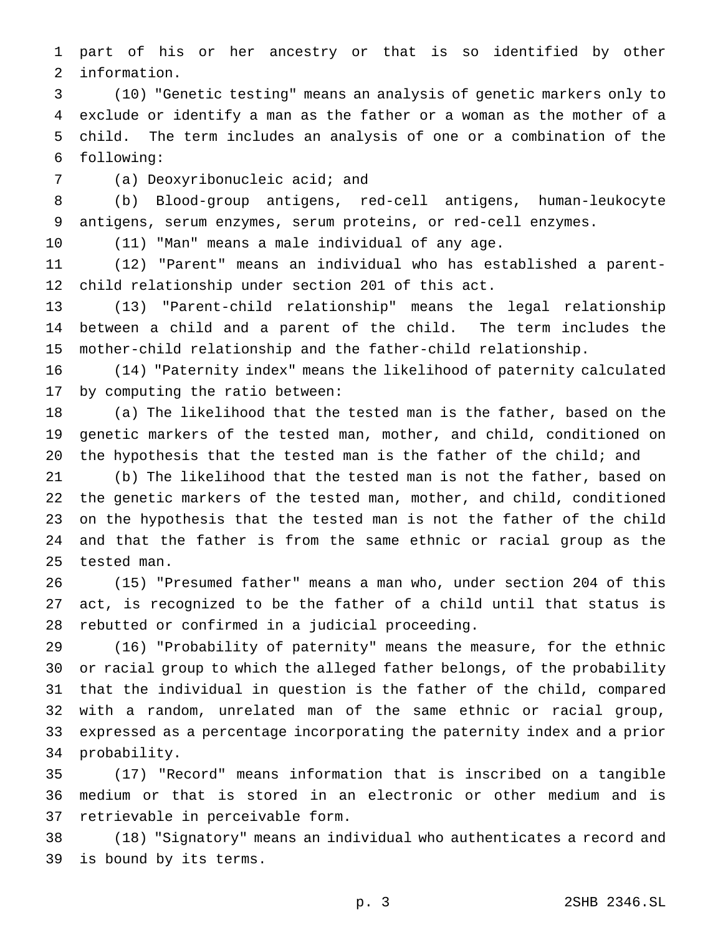part of his or her ancestry or that is so identified by other information.

 (10) "Genetic testing" means an analysis of genetic markers only to exclude or identify a man as the father or a woman as the mother of a child. The term includes an analysis of one or a combination of the following:

(a) Deoxyribonucleic acid; and

 (b) Blood-group antigens, red-cell antigens, human-leukocyte antigens, serum enzymes, serum proteins, or red-cell enzymes.

(11) "Man" means a male individual of any age.

 (12) "Parent" means an individual who has established a parent-child relationship under section 201 of this act.

 (13) "Parent-child relationship" means the legal relationship between a child and a parent of the child. The term includes the mother-child relationship and the father-child relationship.

 (14) "Paternity index" means the likelihood of paternity calculated by computing the ratio between:

 (a) The likelihood that the tested man is the father, based on the genetic markers of the tested man, mother, and child, conditioned on the hypothesis that the tested man is the father of the child; and

 (b) The likelihood that the tested man is not the father, based on the genetic markers of the tested man, mother, and child, conditioned on the hypothesis that the tested man is not the father of the child and that the father is from the same ethnic or racial group as the tested man.

 (15) "Presumed father" means a man who, under section 204 of this act, is recognized to be the father of a child until that status is rebutted or confirmed in a judicial proceeding.

 (16) "Probability of paternity" means the measure, for the ethnic or racial group to which the alleged father belongs, of the probability that the individual in question is the father of the child, compared with a random, unrelated man of the same ethnic or racial group, expressed as a percentage incorporating the paternity index and a prior probability.

 (17) "Record" means information that is inscribed on a tangible medium or that is stored in an electronic or other medium and is retrievable in perceivable form.

 (18) "Signatory" means an individual who authenticates a record and is bound by its terms.

p. 3 2SHB 2346.SL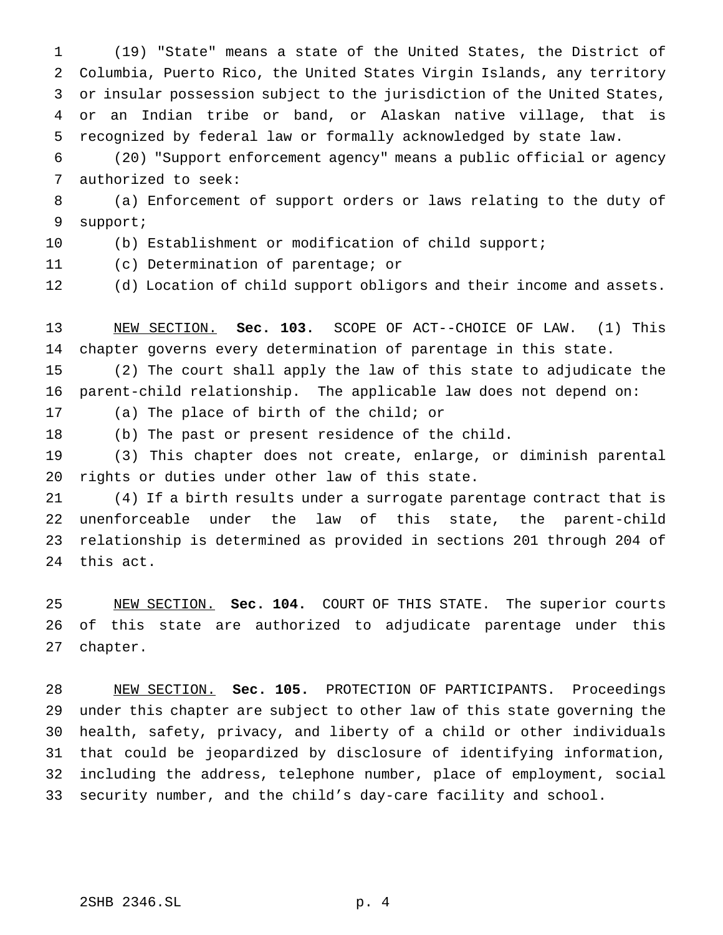(19) "State" means a state of the United States, the District of Columbia, Puerto Rico, the United States Virgin Islands, any territory or insular possession subject to the jurisdiction of the United States, or an Indian tribe or band, or Alaskan native village, that is recognized by federal law or formally acknowledged by state law.

 (20) "Support enforcement agency" means a public official or agency authorized to seek:

 (a) Enforcement of support orders or laws relating to the duty of support;

(b) Establishment or modification of child support;

(c) Determination of parentage; or

(d) Location of child support obligors and their income and assets.

 NEW SECTION. **Sec. 103.** SCOPE OF ACT--CHOICE OF LAW. (1) This chapter governs every determination of parentage in this state.

 (2) The court shall apply the law of this state to adjudicate the parent-child relationship. The applicable law does not depend on:

(a) The place of birth of the child; or

(b) The past or present residence of the child.

 (3) This chapter does not create, enlarge, or diminish parental rights or duties under other law of this state.

 (4) If a birth results under a surrogate parentage contract that is unenforceable under the law of this state, the parent-child relationship is determined as provided in sections 201 through 204 of this act.

 NEW SECTION. **Sec. 104.** COURT OF THIS STATE. The superior courts of this state are authorized to adjudicate parentage under this chapter.

 NEW SECTION. **Sec. 105.** PROTECTION OF PARTICIPANTS. Proceedings under this chapter are subject to other law of this state governing the health, safety, privacy, and liberty of a child or other individuals that could be jeopardized by disclosure of identifying information, including the address, telephone number, place of employment, social security number, and the child's day-care facility and school.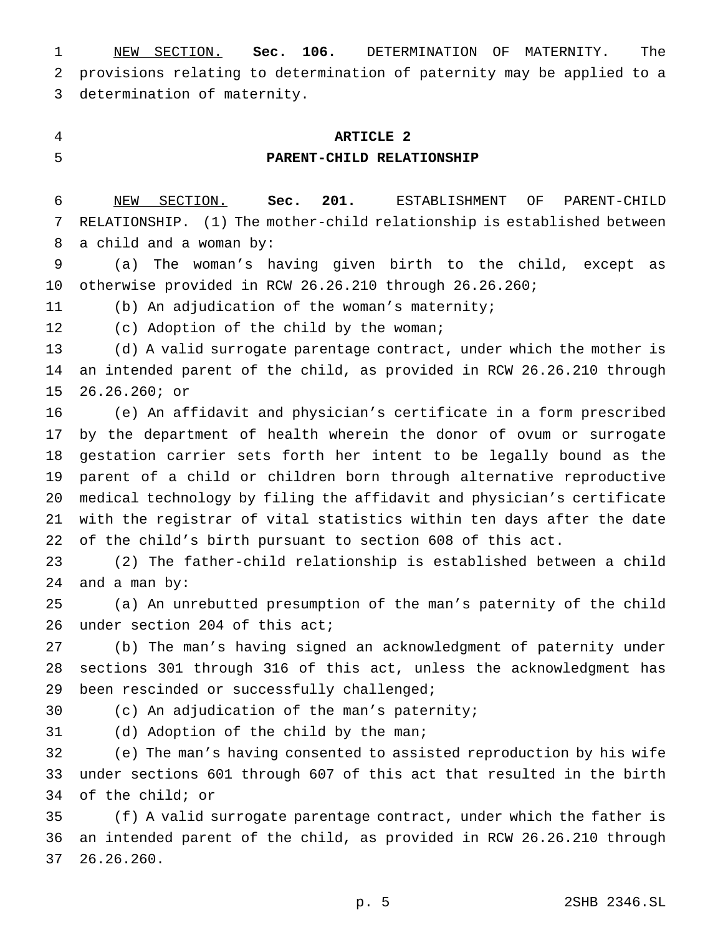NEW SECTION. **Sec. 106.** DETERMINATION OF MATERNITY. The provisions relating to determination of paternity may be applied to a determination of maternity.

## **ARTICLE 2**

#### **PARENT-CHILD RELATIONSHIP**

 NEW SECTION. **Sec. 201.** ESTABLISHMENT OF PARENT-CHILD RELATIONSHIP. (1) The mother-child relationship is established between a child and a woman by:

 (a) The woman's having given birth to the child, except as otherwise provided in RCW 26.26.210 through 26.26.260;

(b) An adjudication of the woman's maternity;

(c) Adoption of the child by the woman;

 (d) A valid surrogate parentage contract, under which the mother is an intended parent of the child, as provided in RCW 26.26.210 through 26.26.260; or

 (e) An affidavit and physician's certificate in a form prescribed by the department of health wherein the donor of ovum or surrogate gestation carrier sets forth her intent to be legally bound as the parent of a child or children born through alternative reproductive medical technology by filing the affidavit and physician's certificate with the registrar of vital statistics within ten days after the date of the child's birth pursuant to section 608 of this act.

 (2) The father-child relationship is established between a child and a man by:

 (a) An unrebutted presumption of the man's paternity of the child under section 204 of this act;

 (b) The man's having signed an acknowledgment of paternity under sections 301 through 316 of this act, unless the acknowledgment has been rescinded or successfully challenged;

(c) An adjudication of the man's paternity;

(d) Adoption of the child by the man;

 (e) The man's having consented to assisted reproduction by his wife under sections 601 through 607 of this act that resulted in the birth of the child; or

 (f) A valid surrogate parentage contract, under which the father is an intended parent of the child, as provided in RCW 26.26.210 through 26.26.260.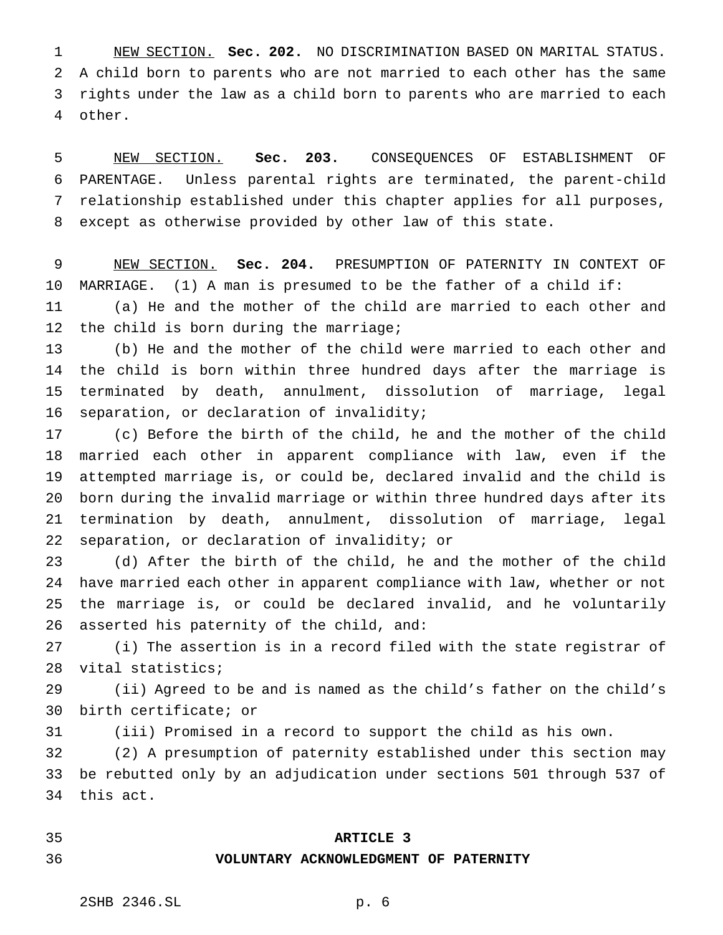NEW SECTION. **Sec. 202.** NO DISCRIMINATION BASED ON MARITAL STATUS. A child born to parents who are not married to each other has the same rights under the law as a child born to parents who are married to each other.

 NEW SECTION. **Sec. 203.** CONSEQUENCES OF ESTABLISHMENT OF PARENTAGE. Unless parental rights are terminated, the parent-child relationship established under this chapter applies for all purposes, except as otherwise provided by other law of this state.

 NEW SECTION. **Sec. 204.** PRESUMPTION OF PATERNITY IN CONTEXT OF MARRIAGE. (1) A man is presumed to be the father of a child if:

 (a) He and the mother of the child are married to each other and the child is born during the marriage;

 (b) He and the mother of the child were married to each other and the child is born within three hundred days after the marriage is terminated by death, annulment, dissolution of marriage, legal separation, or declaration of invalidity;

 (c) Before the birth of the child, he and the mother of the child married each other in apparent compliance with law, even if the attempted marriage is, or could be, declared invalid and the child is born during the invalid marriage or within three hundred days after its termination by death, annulment, dissolution of marriage, legal separation, or declaration of invalidity; or

 (d) After the birth of the child, he and the mother of the child have married each other in apparent compliance with law, whether or not the marriage is, or could be declared invalid, and he voluntarily asserted his paternity of the child, and:

 (i) The assertion is in a record filed with the state registrar of vital statistics;

 (ii) Agreed to be and is named as the child's father on the child's birth certificate; or

(iii) Promised in a record to support the child as his own.

 (2) A presumption of paternity established under this section may be rebutted only by an adjudication under sections 501 through 537 of this act.

#### **ARTICLE 3**

#### **VOLUNTARY ACKNOWLEDGMENT OF PATERNITY**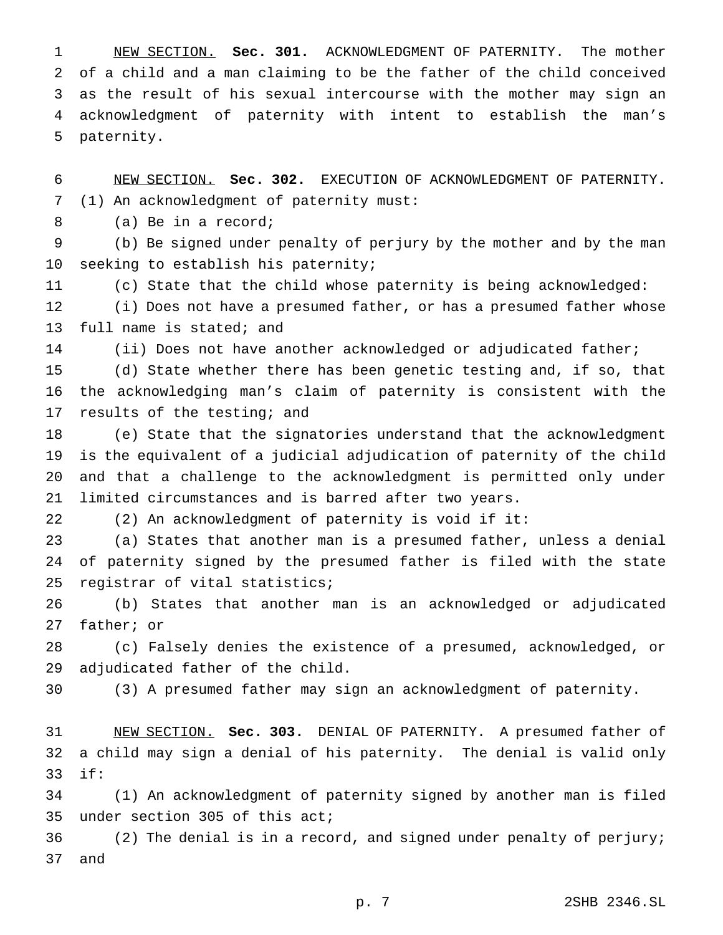NEW SECTION. **Sec. 301.** ACKNOWLEDGMENT OF PATERNITY. The mother of a child and a man claiming to be the father of the child conceived as the result of his sexual intercourse with the mother may sign an acknowledgment of paternity with intent to establish the man's paternity.

 NEW SECTION. **Sec. 302.** EXECUTION OF ACKNOWLEDGMENT OF PATERNITY. (1) An acknowledgment of paternity must:

(a) Be in a record;

 (b) Be signed under penalty of perjury by the mother and by the man seeking to establish his paternity;

(c) State that the child whose paternity is being acknowledged:

 (i) Does not have a presumed father, or has a presumed father whose full name is stated; and

(ii) Does not have another acknowledged or adjudicated father;

 (d) State whether there has been genetic testing and, if so, that the acknowledging man's claim of paternity is consistent with the 17 results of the testing; and

 (e) State that the signatories understand that the acknowledgment is the equivalent of a judicial adjudication of paternity of the child and that a challenge to the acknowledgment is permitted only under limited circumstances and is barred after two years.

(2) An acknowledgment of paternity is void if it:

 (a) States that another man is a presumed father, unless a denial of paternity signed by the presumed father is filed with the state registrar of vital statistics;

 (b) States that another man is an acknowledged or adjudicated father; or

 (c) Falsely denies the existence of a presumed, acknowledged, or adjudicated father of the child.

(3) A presumed father may sign an acknowledgment of paternity.

 NEW SECTION. **Sec. 303.** DENIAL OF PATERNITY. A presumed father of a child may sign a denial of his paternity. The denial is valid only if:

 (1) An acknowledgment of paternity signed by another man is filed under section 305 of this act;

 (2) The denial is in a record, and signed under penalty of perjury; and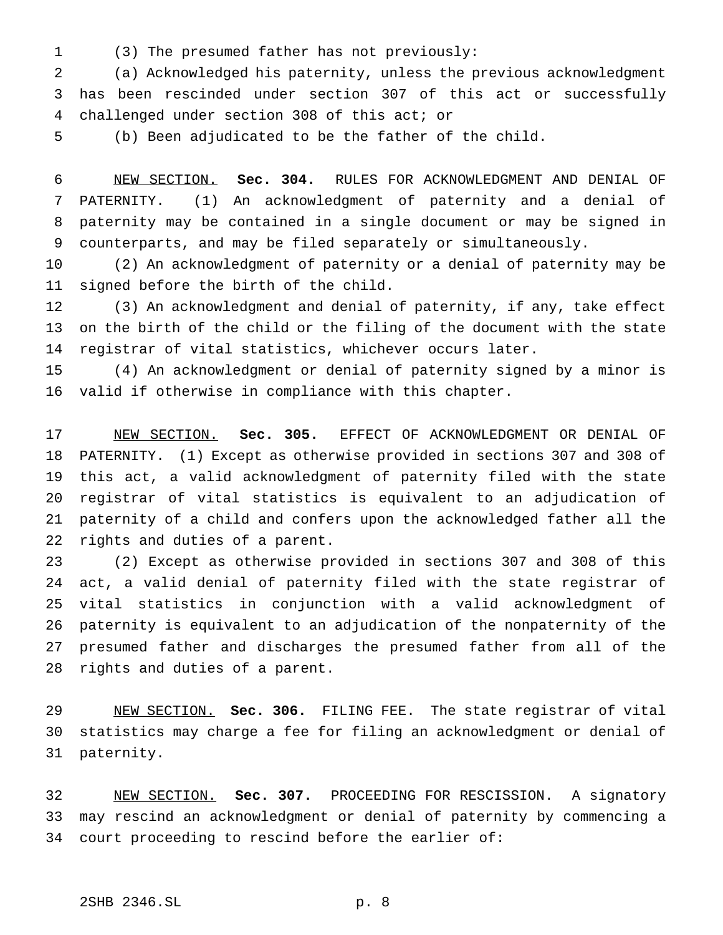(3) The presumed father has not previously:

 (a) Acknowledged his paternity, unless the previous acknowledgment has been rescinded under section 307 of this act or successfully challenged under section 308 of this act; or

(b) Been adjudicated to be the father of the child.

 NEW SECTION. **Sec. 304.** RULES FOR ACKNOWLEDGMENT AND DENIAL OF PATERNITY. (1) An acknowledgment of paternity and a denial of paternity may be contained in a single document or may be signed in counterparts, and may be filed separately or simultaneously.

 (2) An acknowledgment of paternity or a denial of paternity may be signed before the birth of the child.

 (3) An acknowledgment and denial of paternity, if any, take effect on the birth of the child or the filing of the document with the state registrar of vital statistics, whichever occurs later.

 (4) An acknowledgment or denial of paternity signed by a minor is valid if otherwise in compliance with this chapter.

 NEW SECTION. **Sec. 305.** EFFECT OF ACKNOWLEDGMENT OR DENIAL OF PATERNITY. (1) Except as otherwise provided in sections 307 and 308 of this act, a valid acknowledgment of paternity filed with the state registrar of vital statistics is equivalent to an adjudication of paternity of a child and confers upon the acknowledged father all the rights and duties of a parent.

 (2) Except as otherwise provided in sections 307 and 308 of this act, a valid denial of paternity filed with the state registrar of vital statistics in conjunction with a valid acknowledgment of paternity is equivalent to an adjudication of the nonpaternity of the presumed father and discharges the presumed father from all of the rights and duties of a parent.

 NEW SECTION. **Sec. 306.** FILING FEE. The state registrar of vital statistics may charge a fee for filing an acknowledgment or denial of paternity.

 NEW SECTION. **Sec. 307.** PROCEEDING FOR RESCISSION. A signatory may rescind an acknowledgment or denial of paternity by commencing a court proceeding to rescind before the earlier of: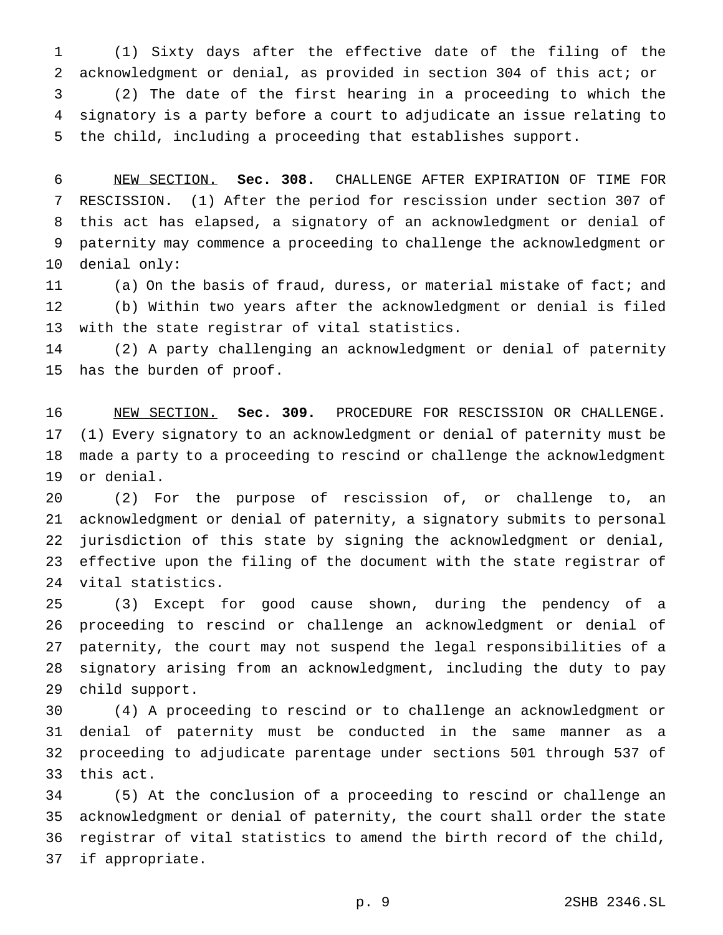(1) Sixty days after the effective date of the filing of the acknowledgment or denial, as provided in section 304 of this act; or (2) The date of the first hearing in a proceeding to which the signatory is a party before a court to adjudicate an issue relating to the child, including a proceeding that establishes support.

 NEW SECTION. **Sec. 308.** CHALLENGE AFTER EXPIRATION OF TIME FOR RESCISSION. (1) After the period for rescission under section 307 of this act has elapsed, a signatory of an acknowledgment or denial of paternity may commence a proceeding to challenge the acknowledgment or denial only:

 (a) On the basis of fraud, duress, or material mistake of fact; and (b) Within two years after the acknowledgment or denial is filed with the state registrar of vital statistics.

 (2) A party challenging an acknowledgment or denial of paternity has the burden of proof.

 NEW SECTION. **Sec. 309.** PROCEDURE FOR RESCISSION OR CHALLENGE. (1) Every signatory to an acknowledgment or denial of paternity must be made a party to a proceeding to rescind or challenge the acknowledgment or denial.

 (2) For the purpose of rescission of, or challenge to, an acknowledgment or denial of paternity, a signatory submits to personal jurisdiction of this state by signing the acknowledgment or denial, effective upon the filing of the document with the state registrar of vital statistics.

 (3) Except for good cause shown, during the pendency of a proceeding to rescind or challenge an acknowledgment or denial of paternity, the court may not suspend the legal responsibilities of a signatory arising from an acknowledgment, including the duty to pay child support.

 (4) A proceeding to rescind or to challenge an acknowledgment or denial of paternity must be conducted in the same manner as a proceeding to adjudicate parentage under sections 501 through 537 of this act.

 (5) At the conclusion of a proceeding to rescind or challenge an acknowledgment or denial of paternity, the court shall order the state registrar of vital statistics to amend the birth record of the child, if appropriate.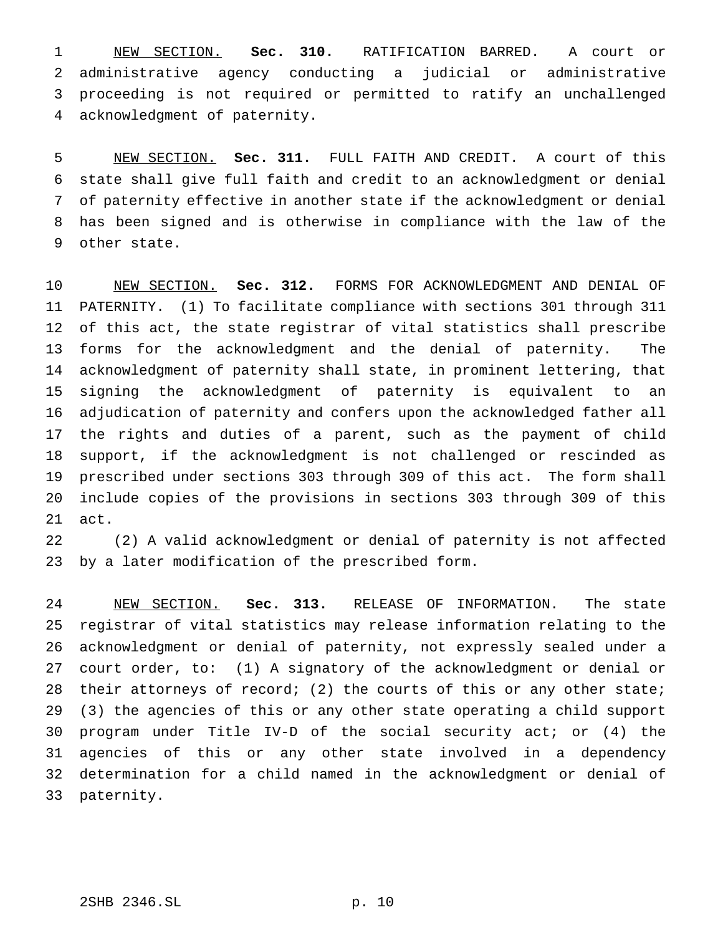NEW SECTION. **Sec. 310.** RATIFICATION BARRED. A court or administrative agency conducting a judicial or administrative proceeding is not required or permitted to ratify an unchallenged acknowledgment of paternity.

 NEW SECTION. **Sec. 311.** FULL FAITH AND CREDIT. A court of this state shall give full faith and credit to an acknowledgment or denial of paternity effective in another state if the acknowledgment or denial has been signed and is otherwise in compliance with the law of the other state.

 NEW SECTION. **Sec. 312.** FORMS FOR ACKNOWLEDGMENT AND DENIAL OF PATERNITY. (1) To facilitate compliance with sections 301 through 311 of this act, the state registrar of vital statistics shall prescribe forms for the acknowledgment and the denial of paternity. The acknowledgment of paternity shall state, in prominent lettering, that signing the acknowledgment of paternity is equivalent to an adjudication of paternity and confers upon the acknowledged father all the rights and duties of a parent, such as the payment of child support, if the acknowledgment is not challenged or rescinded as prescribed under sections 303 through 309 of this act. The form shall include copies of the provisions in sections 303 through 309 of this act.

 (2) A valid acknowledgment or denial of paternity is not affected by a later modification of the prescribed form.

 NEW SECTION. **Sec. 313.** RELEASE OF INFORMATION. The state registrar of vital statistics may release information relating to the acknowledgment or denial of paternity, not expressly sealed under a court order, to: (1) A signatory of the acknowledgment or denial or 28 their attorneys of record; (2) the courts of this or any other state; (3) the agencies of this or any other state operating a child support program under Title IV-D of the social security act; or (4) the agencies of this or any other state involved in a dependency determination for a child named in the acknowledgment or denial of paternity.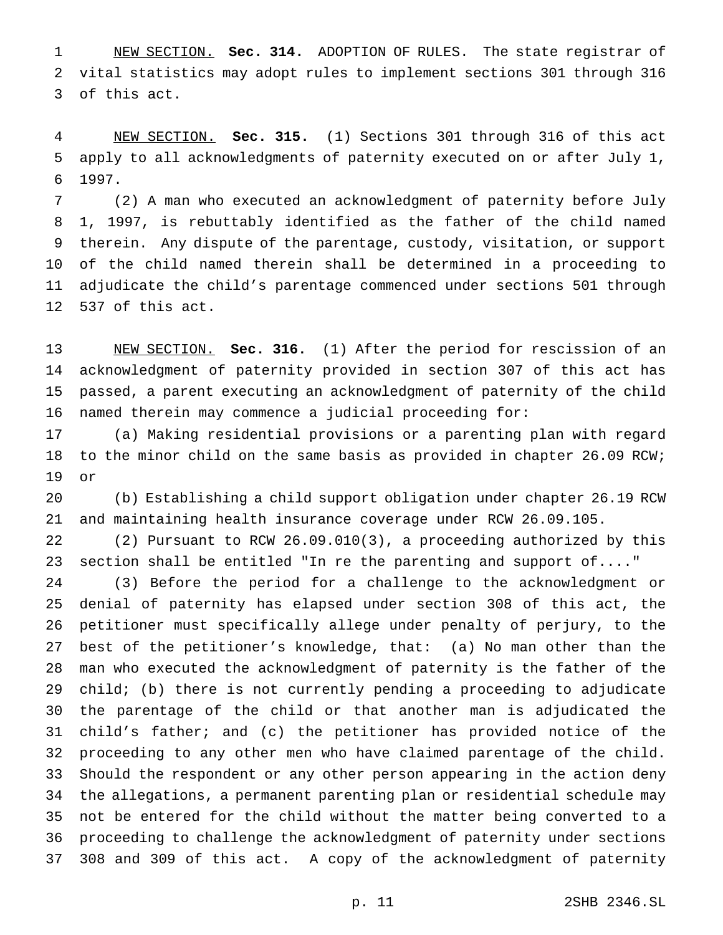NEW SECTION. **Sec. 314.** ADOPTION OF RULES. The state registrar of vital statistics may adopt rules to implement sections 301 through 316 of this act.

 NEW SECTION. **Sec. 315.** (1) Sections 301 through 316 of this act apply to all acknowledgments of paternity executed on or after July 1, 1997.

 (2) A man who executed an acknowledgment of paternity before July 1, 1997, is rebuttably identified as the father of the child named therein. Any dispute of the parentage, custody, visitation, or support of the child named therein shall be determined in a proceeding to adjudicate the child's parentage commenced under sections 501 through 537 of this act.

 NEW SECTION. **Sec. 316.** (1) After the period for rescission of an acknowledgment of paternity provided in section 307 of this act has passed, a parent executing an acknowledgment of paternity of the child named therein may commence a judicial proceeding for:

 (a) Making residential provisions or a parenting plan with regard to the minor child on the same basis as provided in chapter 26.09 RCW; or

 (b) Establishing a child support obligation under chapter 26.19 RCW and maintaining health insurance coverage under RCW 26.09.105.

 (2) Pursuant to RCW 26.09.010(3), a proceeding authorized by this section shall be entitled "In re the parenting and support of...."

 (3) Before the period for a challenge to the acknowledgment or denial of paternity has elapsed under section 308 of this act, the petitioner must specifically allege under penalty of perjury, to the best of the petitioner's knowledge, that: (a) No man other than the man who executed the acknowledgment of paternity is the father of the child; (b) there is not currently pending a proceeding to adjudicate the parentage of the child or that another man is adjudicated the child's father; and (c) the petitioner has provided notice of the proceeding to any other men who have claimed parentage of the child. Should the respondent or any other person appearing in the action deny the allegations, a permanent parenting plan or residential schedule may not be entered for the child without the matter being converted to a proceeding to challenge the acknowledgment of paternity under sections 308 and 309 of this act. A copy of the acknowledgment of paternity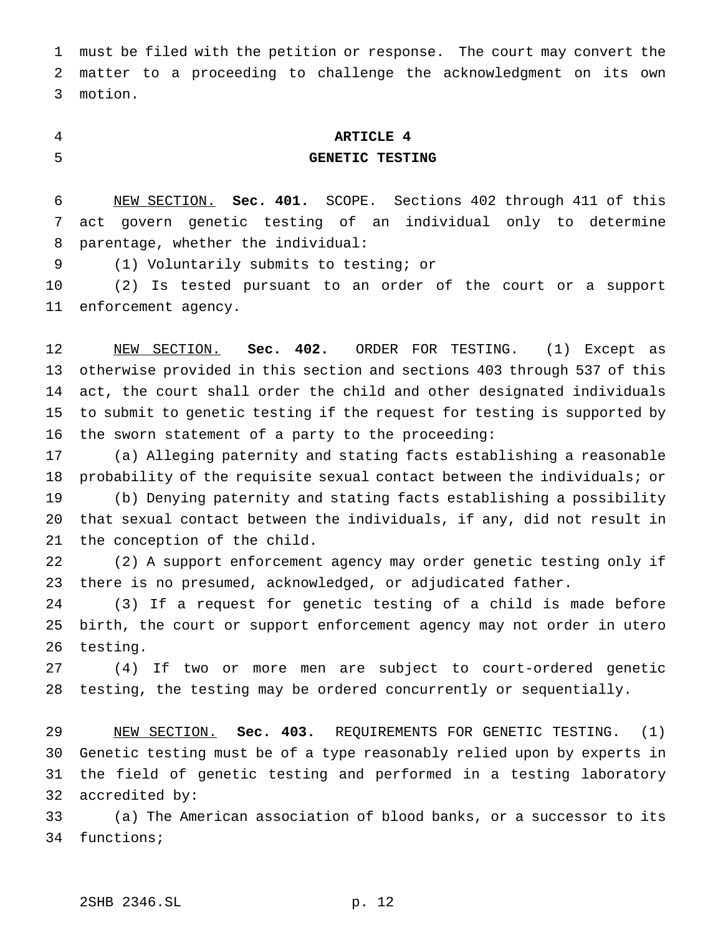must be filed with the petition or response. The court may convert the matter to a proceeding to challenge the acknowledgment on its own motion.

## **ARTICLE 4 GENETIC TESTING**

# NEW SECTION. **Sec. 401.** SCOPE. Sections 402 through 411 of this act govern genetic testing of an individual only to determine parentage, whether the individual:

(1) Voluntarily submits to testing; or

 (2) Is tested pursuant to an order of the court or a support enforcement agency.

 NEW SECTION. **Sec. 402.** ORDER FOR TESTING. (1) Except as otherwise provided in this section and sections 403 through 537 of this act, the court shall order the child and other designated individuals to submit to genetic testing if the request for testing is supported by the sworn statement of a party to the proceeding:

 (a) Alleging paternity and stating facts establishing a reasonable probability of the requisite sexual contact between the individuals; or (b) Denying paternity and stating facts establishing a possibility that sexual contact between the individuals, if any, did not result in the conception of the child.

 (2) A support enforcement agency may order genetic testing only if there is no presumed, acknowledged, or adjudicated father.

 (3) If a request for genetic testing of a child is made before birth, the court or support enforcement agency may not order in utero testing.

 (4) If two or more men are subject to court-ordered genetic testing, the testing may be ordered concurrently or sequentially.

 NEW SECTION. **Sec. 403.** REQUIREMENTS FOR GENETIC TESTING. (1) Genetic testing must be of a type reasonably relied upon by experts in the field of genetic testing and performed in a testing laboratory accredited by:

 (a) The American association of blood banks, or a successor to its functions;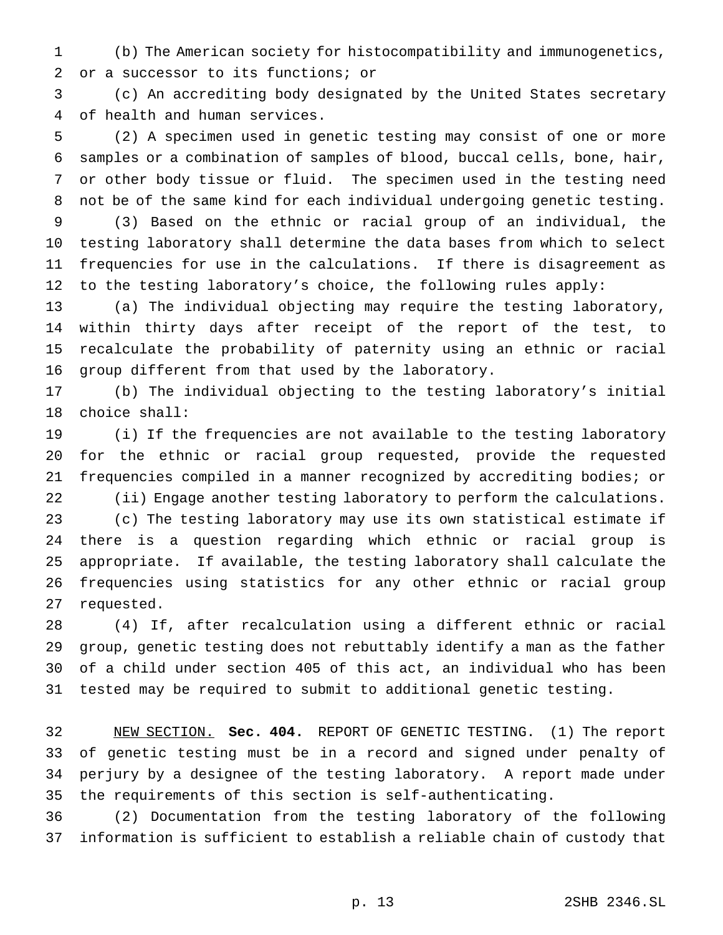(b) The American society for histocompatibility and immunogenetics, or a successor to its functions; or

 (c) An accrediting body designated by the United States secretary of health and human services.

 (2) A specimen used in genetic testing may consist of one or more samples or a combination of samples of blood, buccal cells, bone, hair, or other body tissue or fluid. The specimen used in the testing need not be of the same kind for each individual undergoing genetic testing.

 (3) Based on the ethnic or racial group of an individual, the testing laboratory shall determine the data bases from which to select frequencies for use in the calculations. If there is disagreement as to the testing laboratory's choice, the following rules apply:

 (a) The individual objecting may require the testing laboratory, within thirty days after receipt of the report of the test, to recalculate the probability of paternity using an ethnic or racial group different from that used by the laboratory.

 (b) The individual objecting to the testing laboratory's initial choice shall:

 (i) If the frequencies are not available to the testing laboratory for the ethnic or racial group requested, provide the requested frequencies compiled in a manner recognized by accrediting bodies; or (ii) Engage another testing laboratory to perform the calculations. (c) The testing laboratory may use its own statistical estimate if there is a question regarding which ethnic or racial group is appropriate. If available, the testing laboratory shall calculate the frequencies using statistics for any other ethnic or racial group requested.

 (4) If, after recalculation using a different ethnic or racial group, genetic testing does not rebuttably identify a man as the father of a child under section 405 of this act, an individual who has been tested may be required to submit to additional genetic testing.

 NEW SECTION. **Sec. 404.** REPORT OF GENETIC TESTING. (1) The report of genetic testing must be in a record and signed under penalty of perjury by a designee of the testing laboratory. A report made under the requirements of this section is self-authenticating.

 (2) Documentation from the testing laboratory of the following information is sufficient to establish a reliable chain of custody that

p. 13 2SHB 2346.SL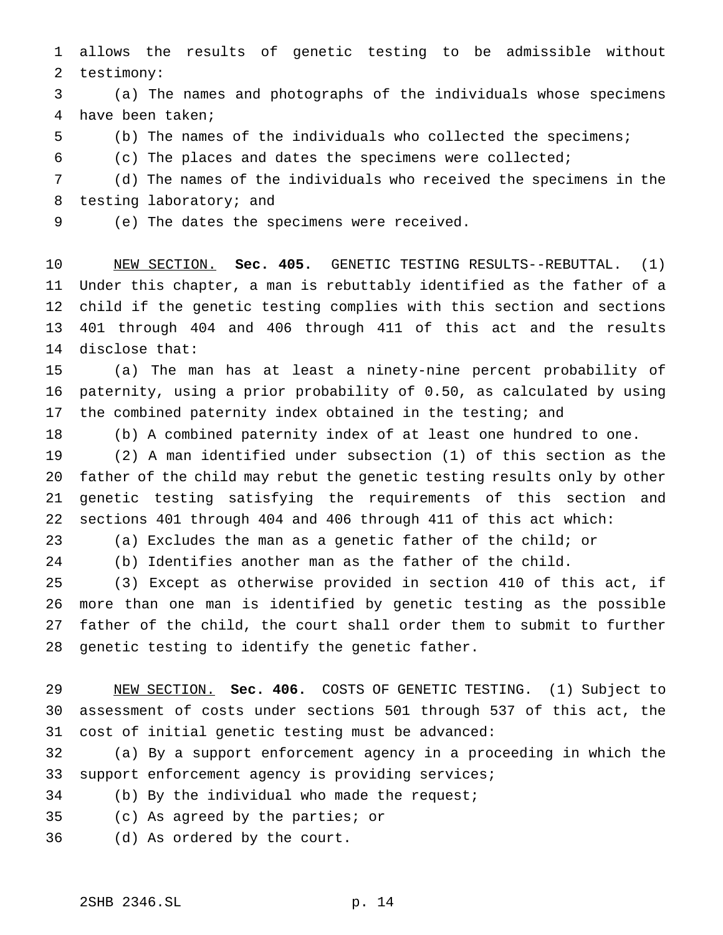allows the results of genetic testing to be admissible without testimony:

 (a) The names and photographs of the individuals whose specimens have been taken;

(b) The names of the individuals who collected the specimens;

(c) The places and dates the specimens were collected;

 (d) The names of the individuals who received the specimens in the testing laboratory; and

(e) The dates the specimens were received.

 NEW SECTION. **Sec. 405.** GENETIC TESTING RESULTS--REBUTTAL. (1) Under this chapter, a man is rebuttably identified as the father of a child if the genetic testing complies with this section and sections 401 through 404 and 406 through 411 of this act and the results disclose that:

 (a) The man has at least a ninety-nine percent probability of paternity, using a prior probability of 0.50, as calculated by using the combined paternity index obtained in the testing; and

(b) A combined paternity index of at least one hundred to one.

 (2) A man identified under subsection (1) of this section as the father of the child may rebut the genetic testing results only by other genetic testing satisfying the requirements of this section and sections 401 through 404 and 406 through 411 of this act which:

- (a) Excludes the man as a genetic father of the child; or
- 

(b) Identifies another man as the father of the child.

 (3) Except as otherwise provided in section 410 of this act, if more than one man is identified by genetic testing as the possible father of the child, the court shall order them to submit to further genetic testing to identify the genetic father.

 NEW SECTION. **Sec. 406.** COSTS OF GENETIC TESTING. (1) Subject to assessment of costs under sections 501 through 537 of this act, the cost of initial genetic testing must be advanced:

 (a) By a support enforcement agency in a proceeding in which the support enforcement agency is providing services;

- (b) By the individual who made the request;
- (c) As agreed by the parties; or
- (d) As ordered by the court.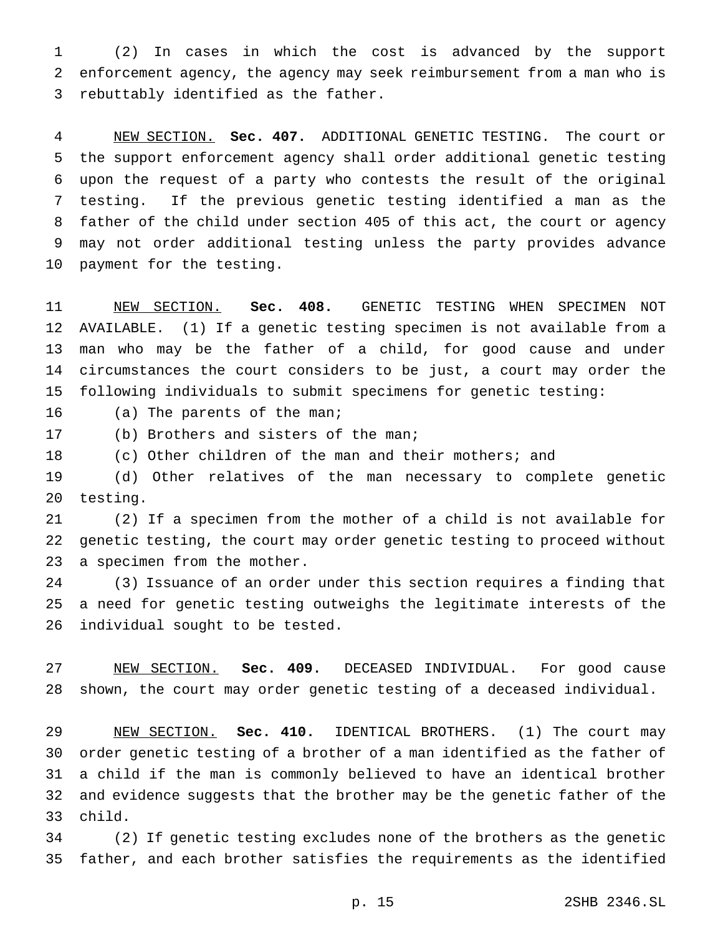(2) In cases in which the cost is advanced by the support enforcement agency, the agency may seek reimbursement from a man who is rebuttably identified as the father.

 NEW SECTION. **Sec. 407.** ADDITIONAL GENETIC TESTING. The court or the support enforcement agency shall order additional genetic testing upon the request of a party who contests the result of the original testing. If the previous genetic testing identified a man as the father of the child under section 405 of this act, the court or agency may not order additional testing unless the party provides advance payment for the testing.

 NEW SECTION. **Sec. 408.** GENETIC TESTING WHEN SPECIMEN NOT AVAILABLE. (1) If a genetic testing specimen is not available from a man who may be the father of a child, for good cause and under circumstances the court considers to be just, a court may order the following individuals to submit specimens for genetic testing:

(a) The parents of the man;

(b) Brothers and sisters of the man;

(c) Other children of the man and their mothers; and

 (d) Other relatives of the man necessary to complete genetic testing.

 (2) If a specimen from the mother of a child is not available for genetic testing, the court may order genetic testing to proceed without a specimen from the mother.

 (3) Issuance of an order under this section requires a finding that a need for genetic testing outweighs the legitimate interests of the individual sought to be tested.

 NEW SECTION. **Sec. 409.** DECEASED INDIVIDUAL. For good cause shown, the court may order genetic testing of a deceased individual.

 NEW SECTION. **Sec. 410.** IDENTICAL BROTHERS. (1) The court may order genetic testing of a brother of a man identified as the father of a child if the man is commonly believed to have an identical brother and evidence suggests that the brother may be the genetic father of the child.

 (2) If genetic testing excludes none of the brothers as the genetic father, and each brother satisfies the requirements as the identified

p. 15 2SHB 2346.SL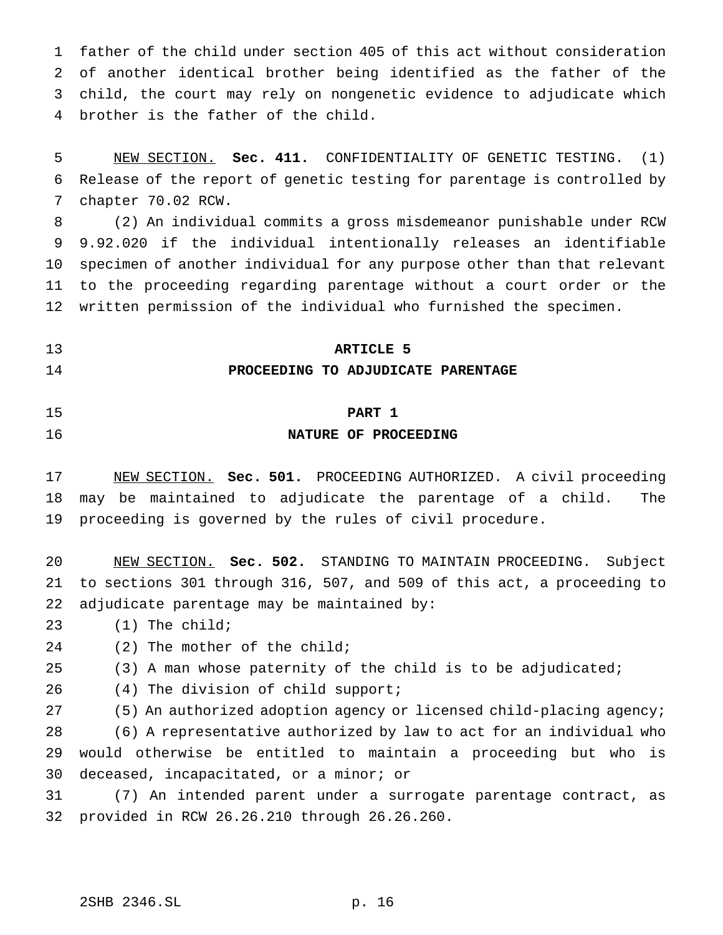father of the child under section 405 of this act without consideration of another identical brother being identified as the father of the child, the court may rely on nongenetic evidence to adjudicate which brother is the father of the child.

 NEW SECTION. **Sec. 411.** CONFIDENTIALITY OF GENETIC TESTING. (1) Release of the report of genetic testing for parentage is controlled by chapter 70.02 RCW.

 (2) An individual commits a gross misdemeanor punishable under RCW 9.92.020 if the individual intentionally releases an identifiable specimen of another individual for any purpose other than that relevant to the proceeding regarding parentage without a court order or the written permission of the individual who furnished the specimen.

**ARTICLE 5**

## **PROCEEDING TO ADJUDICATE PARENTAGE**

#### **PART 1**

#### **NATURE OF PROCEEDING**

 NEW SECTION. **Sec. 501.** PROCEEDING AUTHORIZED. A civil proceeding may be maintained to adjudicate the parentage of a child. The proceeding is governed by the rules of civil procedure.

 NEW SECTION. **Sec. 502.** STANDING TO MAINTAIN PROCEEDING. Subject to sections 301 through 316, 507, and 509 of this act, a proceeding to adjudicate parentage may be maintained by:

(1) The child;

(2) The mother of the child;

(3) A man whose paternity of the child is to be adjudicated;

(4) The division of child support;

(5) An authorized adoption agency or licensed child-placing agency;

 (6) A representative authorized by law to act for an individual who would otherwise be entitled to maintain a proceeding but who is deceased, incapacitated, or a minor; or

 (7) An intended parent under a surrogate parentage contract, as provided in RCW 26.26.210 through 26.26.260.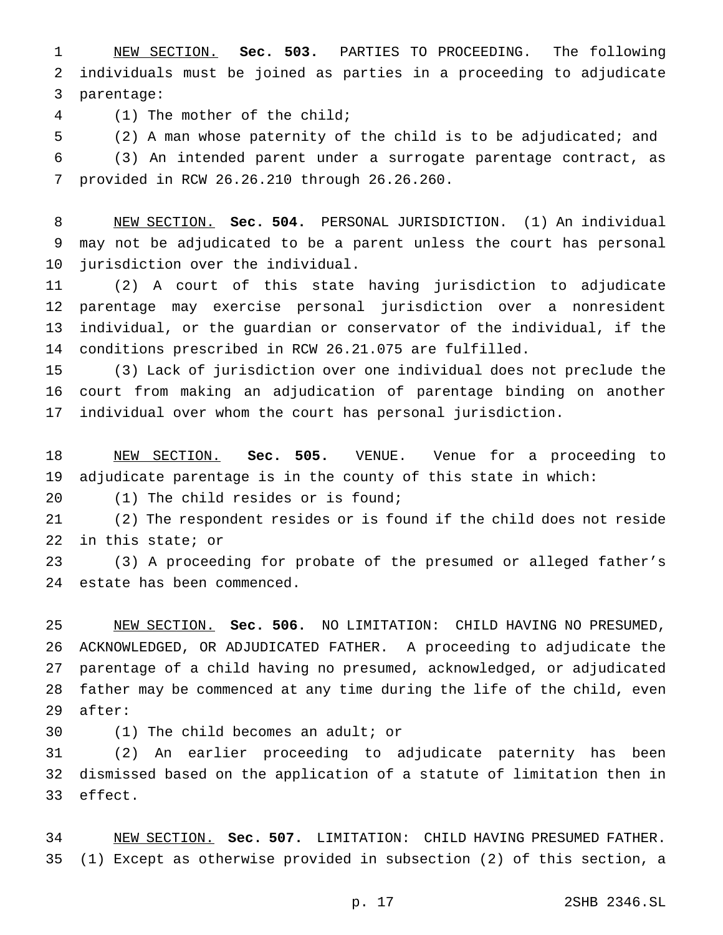NEW SECTION. **Sec. 503.** PARTIES TO PROCEEDING. The following individuals must be joined as parties in a proceeding to adjudicate parentage:

(1) The mother of the child;

 (2) A man whose paternity of the child is to be adjudicated; and (3) An intended parent under a surrogate parentage contract, as provided in RCW 26.26.210 through 26.26.260.

 NEW SECTION. **Sec. 504.** PERSONAL JURISDICTION. (1) An individual may not be adjudicated to be a parent unless the court has personal jurisdiction over the individual.

 (2) A court of this state having jurisdiction to adjudicate parentage may exercise personal jurisdiction over a nonresident individual, or the guardian or conservator of the individual, if the conditions prescribed in RCW 26.21.075 are fulfilled.

 (3) Lack of jurisdiction over one individual does not preclude the court from making an adjudication of parentage binding on another individual over whom the court has personal jurisdiction.

 NEW SECTION. **Sec. 505.** VENUE. Venue for a proceeding to adjudicate parentage is in the county of this state in which:

(1) The child resides or is found;

 (2) The respondent resides or is found if the child does not reside in this state; or

 (3) A proceeding for probate of the presumed or alleged father's estate has been commenced.

 NEW SECTION. **Sec. 506.** NO LIMITATION: CHILD HAVING NO PRESUMED, ACKNOWLEDGED, OR ADJUDICATED FATHER. A proceeding to adjudicate the parentage of a child having no presumed, acknowledged, or adjudicated father may be commenced at any time during the life of the child, even after:

(1) The child becomes an adult; or

 (2) An earlier proceeding to adjudicate paternity has been dismissed based on the application of a statute of limitation then in effect.

 NEW SECTION. **Sec. 507.** LIMITATION: CHILD HAVING PRESUMED FATHER. (1) Except as otherwise provided in subsection (2) of this section, a

p. 17 2SHB 2346.SL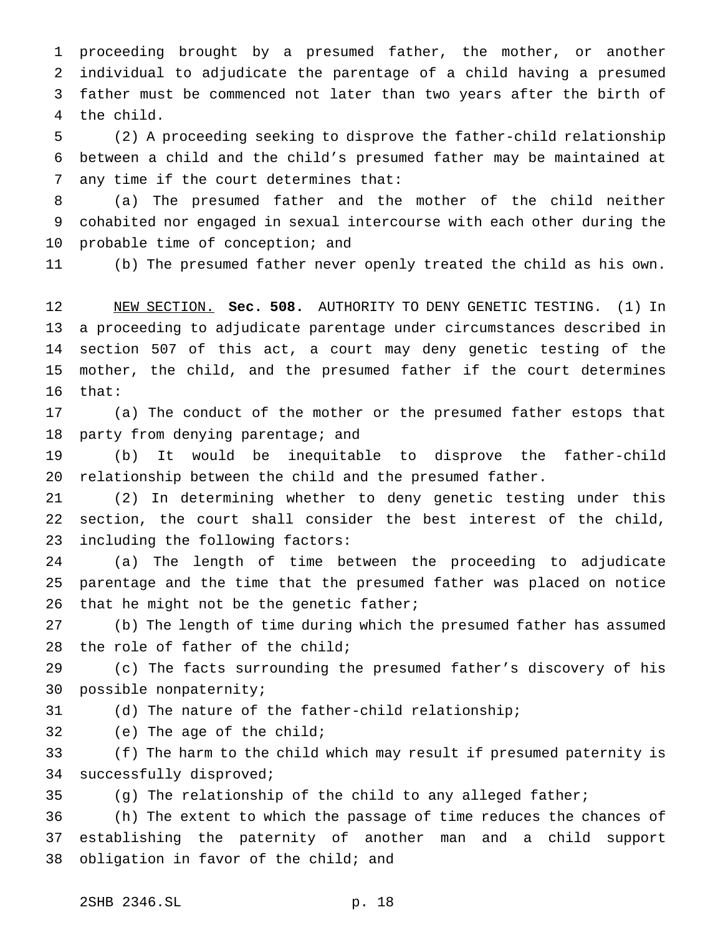proceeding brought by a presumed father, the mother, or another individual to adjudicate the parentage of a child having a presumed father must be commenced not later than two years after the birth of the child.

 (2) A proceeding seeking to disprove the father-child relationship between a child and the child's presumed father may be maintained at any time if the court determines that:

 (a) The presumed father and the mother of the child neither cohabited nor engaged in sexual intercourse with each other during the probable time of conception; and

(b) The presumed father never openly treated the child as his own.

 NEW SECTION. **Sec. 508.** AUTHORITY TO DENY GENETIC TESTING. (1) In a proceeding to adjudicate parentage under circumstances described in section 507 of this act, a court may deny genetic testing of the mother, the child, and the presumed father if the court determines that:

 (a) The conduct of the mother or the presumed father estops that 18 party from denying parentage; and

 (b) It would be inequitable to disprove the father-child relationship between the child and the presumed father.

 (2) In determining whether to deny genetic testing under this section, the court shall consider the best interest of the child, including the following factors:

 (a) The length of time between the proceeding to adjudicate parentage and the time that the presumed father was placed on notice 26 that he might not be the genetic father;

 (b) The length of time during which the presumed father has assumed the role of father of the child;

 (c) The facts surrounding the presumed father's discovery of his possible nonpaternity;

(d) The nature of the father-child relationship;

(e) The age of the child;

 (f) The harm to the child which may result if presumed paternity is successfully disproved;

(g) The relationship of the child to any alleged father;

 (h) The extent to which the passage of time reduces the chances of establishing the paternity of another man and a child support obligation in favor of the child; and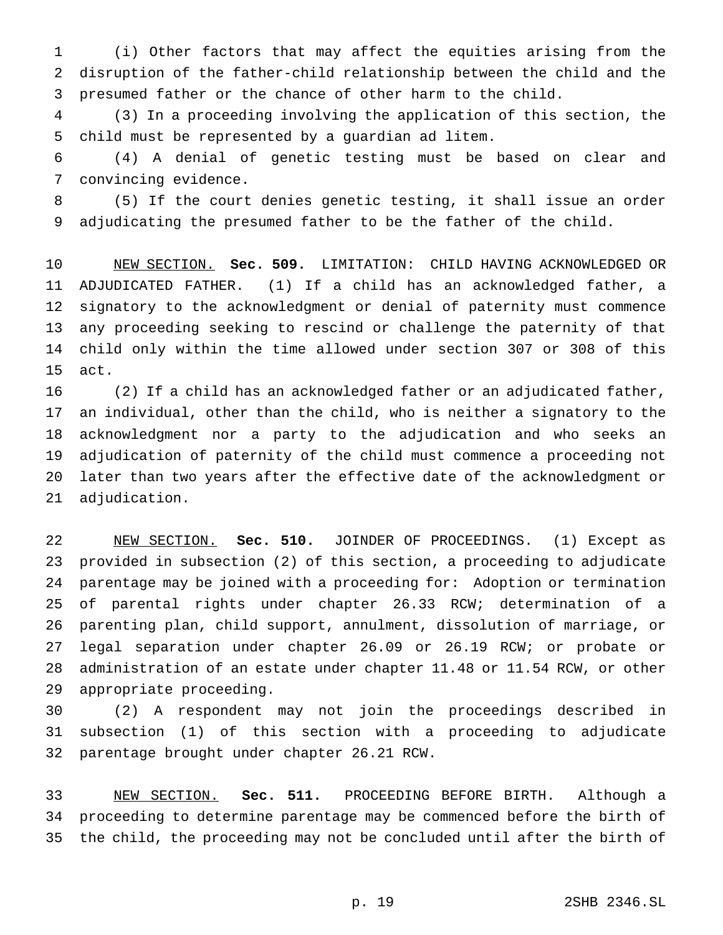(i) Other factors that may affect the equities arising from the disruption of the father-child relationship between the child and the presumed father or the chance of other harm to the child.

 (3) In a proceeding involving the application of this section, the child must be represented by a guardian ad litem.

 (4) A denial of genetic testing must be based on clear and convincing evidence.

 (5) If the court denies genetic testing, it shall issue an order adjudicating the presumed father to be the father of the child.

 NEW SECTION. **Sec. 509.** LIMITATION: CHILD HAVING ACKNOWLEDGED OR ADJUDICATED FATHER. (1) If a child has an acknowledged father, a signatory to the acknowledgment or denial of paternity must commence any proceeding seeking to rescind or challenge the paternity of that child only within the time allowed under section 307 or 308 of this act.

 (2) If a child has an acknowledged father or an adjudicated father, an individual, other than the child, who is neither a signatory to the acknowledgment nor a party to the adjudication and who seeks an adjudication of paternity of the child must commence a proceeding not later than two years after the effective date of the acknowledgment or adjudication.

 NEW SECTION. **Sec. 510.** JOINDER OF PROCEEDINGS. (1) Except as provided in subsection (2) of this section, a proceeding to adjudicate parentage may be joined with a proceeding for: Adoption or termination of parental rights under chapter 26.33 RCW; determination of a parenting plan, child support, annulment, dissolution of marriage, or legal separation under chapter 26.09 or 26.19 RCW; or probate or administration of an estate under chapter 11.48 or 11.54 RCW, or other appropriate proceeding.

 (2) A respondent may not join the proceedings described in subsection (1) of this section with a proceeding to adjudicate parentage brought under chapter 26.21 RCW.

 NEW SECTION. **Sec. 511.** PROCEEDING BEFORE BIRTH. Although a proceeding to determine parentage may be commenced before the birth of the child, the proceeding may not be concluded until after the birth of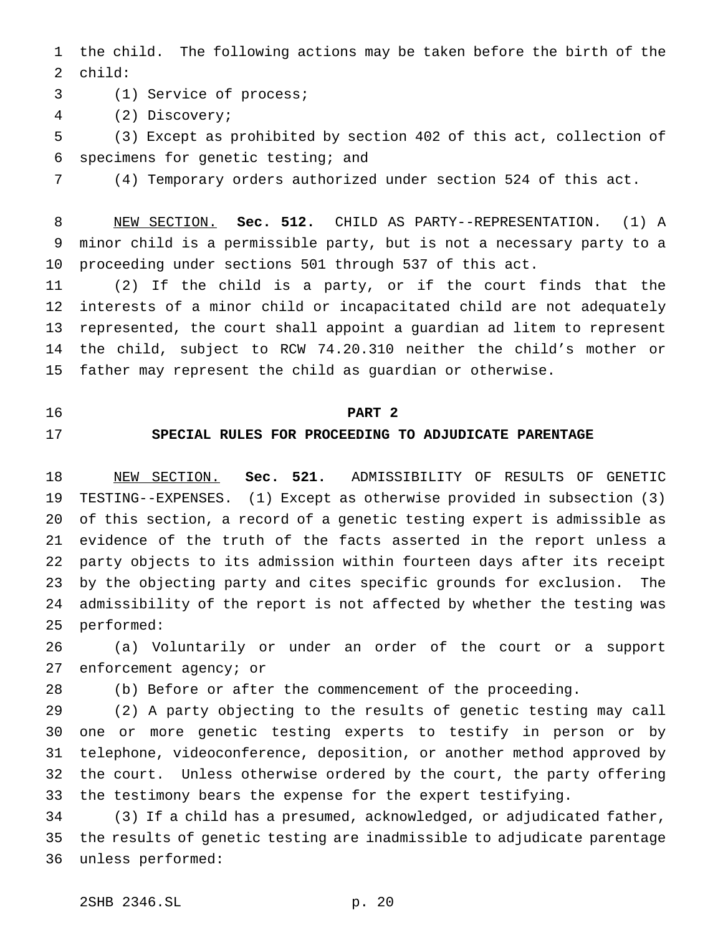the child. The following actions may be taken before the birth of the child:

- (1) Service of process;
- (2) Discovery;

 (3) Except as prohibited by section 402 of this act, collection of specimens for genetic testing; and

(4) Temporary orders authorized under section 524 of this act.

 NEW SECTION. **Sec. 512.** CHILD AS PARTY--REPRESENTATION. (1) A minor child is a permissible party, but is not a necessary party to a proceeding under sections 501 through 537 of this act.

 (2) If the child is a party, or if the court finds that the interests of a minor child or incapacitated child are not adequately represented, the court shall appoint a guardian ad litem to represent the child, subject to RCW 74.20.310 neither the child's mother or father may represent the child as guardian or otherwise.

#### **PART 2**

### **SPECIAL RULES FOR PROCEEDING TO ADJUDICATE PARENTAGE**

 NEW SECTION. **Sec. 521.** ADMISSIBILITY OF RESULTS OF GENETIC TESTING--EXPENSES. (1) Except as otherwise provided in subsection (3) of this section, a record of a genetic testing expert is admissible as evidence of the truth of the facts asserted in the report unless a party objects to its admission within fourteen days after its receipt by the objecting party and cites specific grounds for exclusion. The admissibility of the report is not affected by whether the testing was performed:

 (a) Voluntarily or under an order of the court or a support enforcement agency; or

(b) Before or after the commencement of the proceeding.

 (2) A party objecting to the results of genetic testing may call one or more genetic testing experts to testify in person or by telephone, videoconference, deposition, or another method approved by the court. Unless otherwise ordered by the court, the party offering the testimony bears the expense for the expert testifying.

 (3) If a child has a presumed, acknowledged, or adjudicated father, the results of genetic testing are inadmissible to adjudicate parentage unless performed: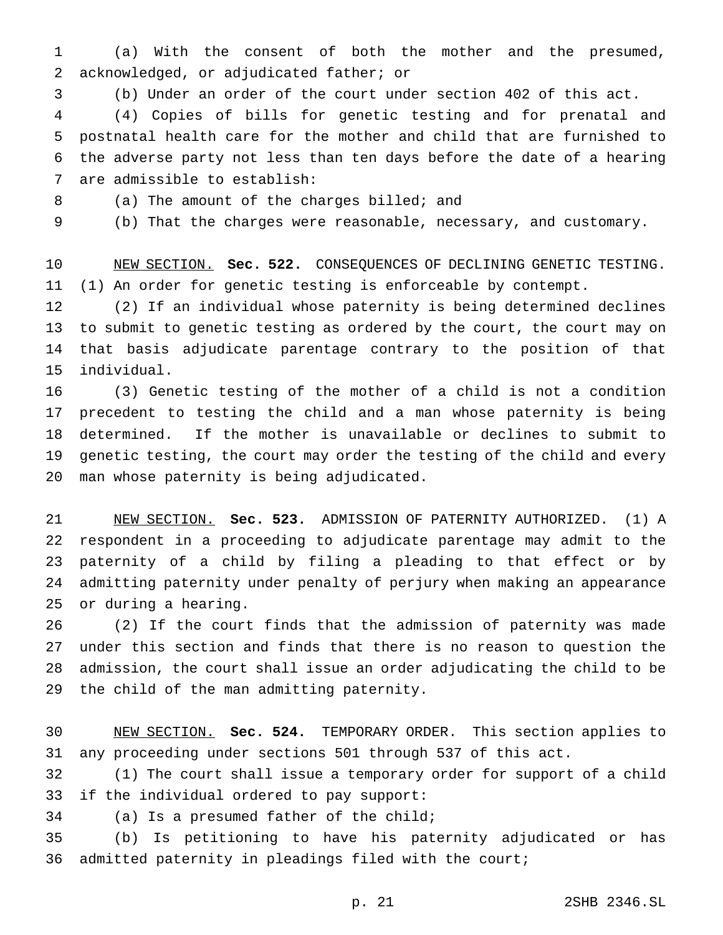(a) With the consent of both the mother and the presumed, acknowledged, or adjudicated father; or

(b) Under an order of the court under section 402 of this act.

 (4) Copies of bills for genetic testing and for prenatal and postnatal health care for the mother and child that are furnished to the adverse party not less than ten days before the date of a hearing are admissible to establish:

8 (a) The amount of the charges billed; and

(b) That the charges were reasonable, necessary, and customary.

 NEW SECTION. **Sec. 522.** CONSEQUENCES OF DECLINING GENETIC TESTING. (1) An order for genetic testing is enforceable by contempt.

 (2) If an individual whose paternity is being determined declines to submit to genetic testing as ordered by the court, the court may on that basis adjudicate parentage contrary to the position of that individual.

 (3) Genetic testing of the mother of a child is not a condition precedent to testing the child and a man whose paternity is being determined. If the mother is unavailable or declines to submit to genetic testing, the court may order the testing of the child and every man whose paternity is being adjudicated.

 NEW SECTION. **Sec. 523.** ADMISSION OF PATERNITY AUTHORIZED. (1) A respondent in a proceeding to adjudicate parentage may admit to the paternity of a child by filing a pleading to that effect or by admitting paternity under penalty of perjury when making an appearance or during a hearing.

 (2) If the court finds that the admission of paternity was made under this section and finds that there is no reason to question the admission, the court shall issue an order adjudicating the child to be the child of the man admitting paternity.

 NEW SECTION. **Sec. 524.** TEMPORARY ORDER. This section applies to any proceeding under sections 501 through 537 of this act.

 (1) The court shall issue a temporary order for support of a child if the individual ordered to pay support:

(a) Is a presumed father of the child;

 (b) Is petitioning to have his paternity adjudicated or has admitted paternity in pleadings filed with the court;

p. 21 2SHB 2346.SL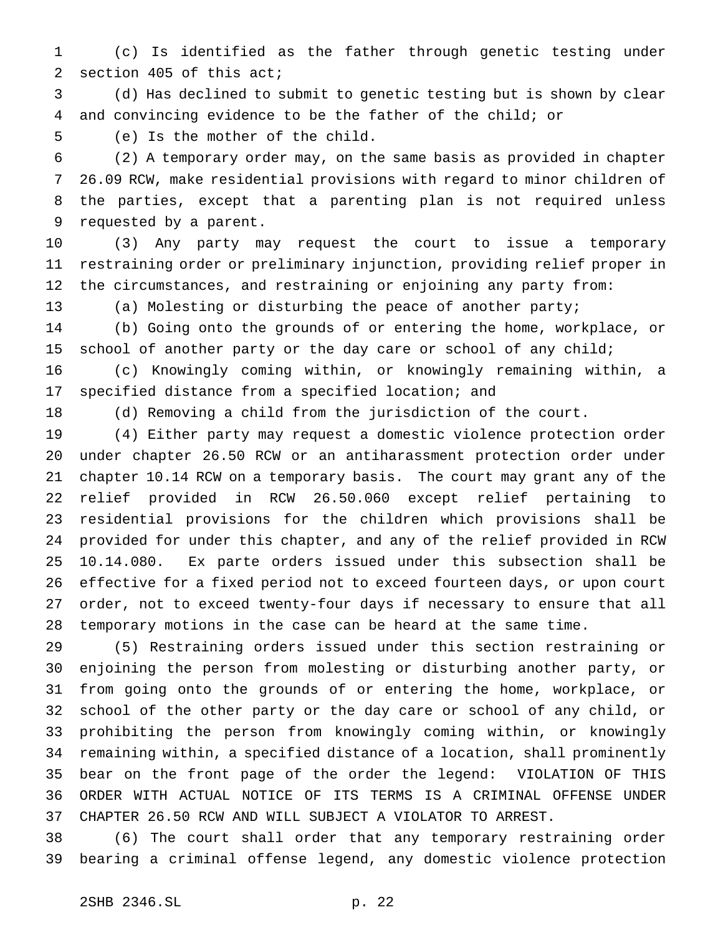(c) Is identified as the father through genetic testing under section 405 of this act;

 (d) Has declined to submit to genetic testing but is shown by clear and convincing evidence to be the father of the child; or

(e) Is the mother of the child.

 (2) A temporary order may, on the same basis as provided in chapter 26.09 RCW, make residential provisions with regard to minor children of the parties, except that a parenting plan is not required unless requested by a parent.

 (3) Any party may request the court to issue a temporary restraining order or preliminary injunction, providing relief proper in the circumstances, and restraining or enjoining any party from:

(a) Molesting or disturbing the peace of another party;

 (b) Going onto the grounds of or entering the home, workplace, or 15 school of another party or the day care or school of any child;

 (c) Knowingly coming within, or knowingly remaining within, a specified distance from a specified location; and

(d) Removing a child from the jurisdiction of the court.

 (4) Either party may request a domestic violence protection order under chapter 26.50 RCW or an antiharassment protection order under chapter 10.14 RCW on a temporary basis. The court may grant any of the relief provided in RCW 26.50.060 except relief pertaining to residential provisions for the children which provisions shall be provided for under this chapter, and any of the relief provided in RCW 10.14.080. Ex parte orders issued under this subsection shall be effective for a fixed period not to exceed fourteen days, or upon court order, not to exceed twenty-four days if necessary to ensure that all temporary motions in the case can be heard at the same time.

 (5) Restraining orders issued under this section restraining or enjoining the person from molesting or disturbing another party, or from going onto the grounds of or entering the home, workplace, or school of the other party or the day care or school of any child, or prohibiting the person from knowingly coming within, or knowingly remaining within, a specified distance of a location, shall prominently bear on the front page of the order the legend: VIOLATION OF THIS ORDER WITH ACTUAL NOTICE OF ITS TERMS IS A CRIMINAL OFFENSE UNDER CHAPTER 26.50 RCW AND WILL SUBJECT A VIOLATOR TO ARREST.

 (6) The court shall order that any temporary restraining order bearing a criminal offense legend, any domestic violence protection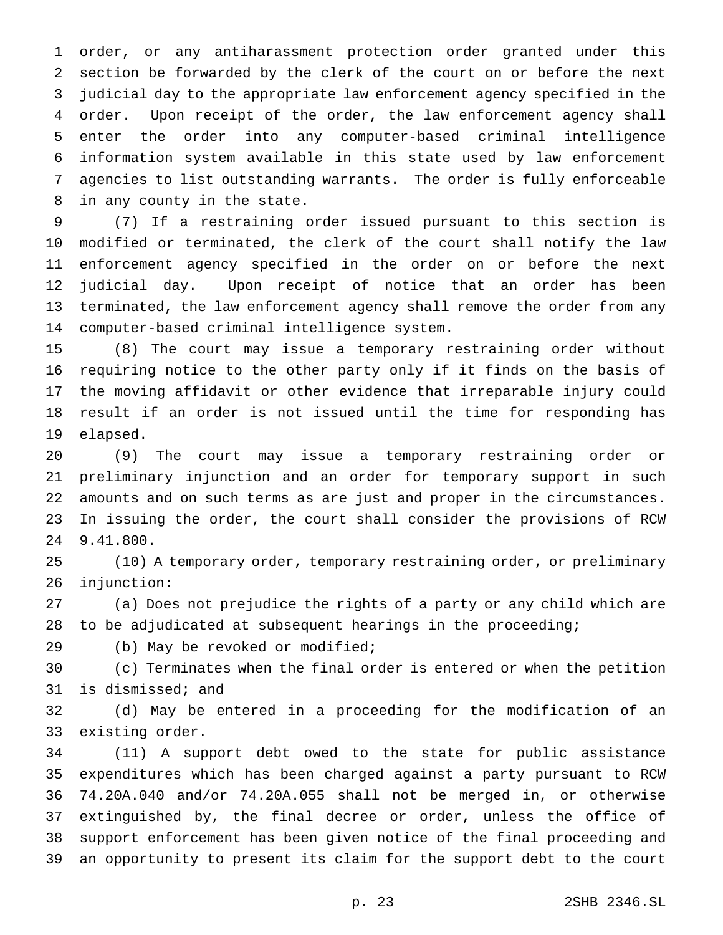order, or any antiharassment protection order granted under this section be forwarded by the clerk of the court on or before the next judicial day to the appropriate law enforcement agency specified in the order. Upon receipt of the order, the law enforcement agency shall enter the order into any computer-based criminal intelligence information system available in this state used by law enforcement agencies to list outstanding warrants. The order is fully enforceable in any county in the state.

 (7) If a restraining order issued pursuant to this section is modified or terminated, the clerk of the court shall notify the law enforcement agency specified in the order on or before the next judicial day. Upon receipt of notice that an order has been terminated, the law enforcement agency shall remove the order from any computer-based criminal intelligence system.

 (8) The court may issue a temporary restraining order without requiring notice to the other party only if it finds on the basis of the moving affidavit or other evidence that irreparable injury could result if an order is not issued until the time for responding has elapsed.

 (9) The court may issue a temporary restraining order or preliminary injunction and an order for temporary support in such amounts and on such terms as are just and proper in the circumstances. In issuing the order, the court shall consider the provisions of RCW 9.41.800.

 (10) A temporary order, temporary restraining order, or preliminary injunction:

 (a) Does not prejudice the rights of a party or any child which are to be adjudicated at subsequent hearings in the proceeding;

(b) May be revoked or modified;

 (c) Terminates when the final order is entered or when the petition is dismissed; and

 (d) May be entered in a proceeding for the modification of an existing order.

 (11) A support debt owed to the state for public assistance expenditures which has been charged against a party pursuant to RCW 74.20A.040 and/or 74.20A.055 shall not be merged in, or otherwise extinguished by, the final decree or order, unless the office of support enforcement has been given notice of the final proceeding and an opportunity to present its claim for the support debt to the court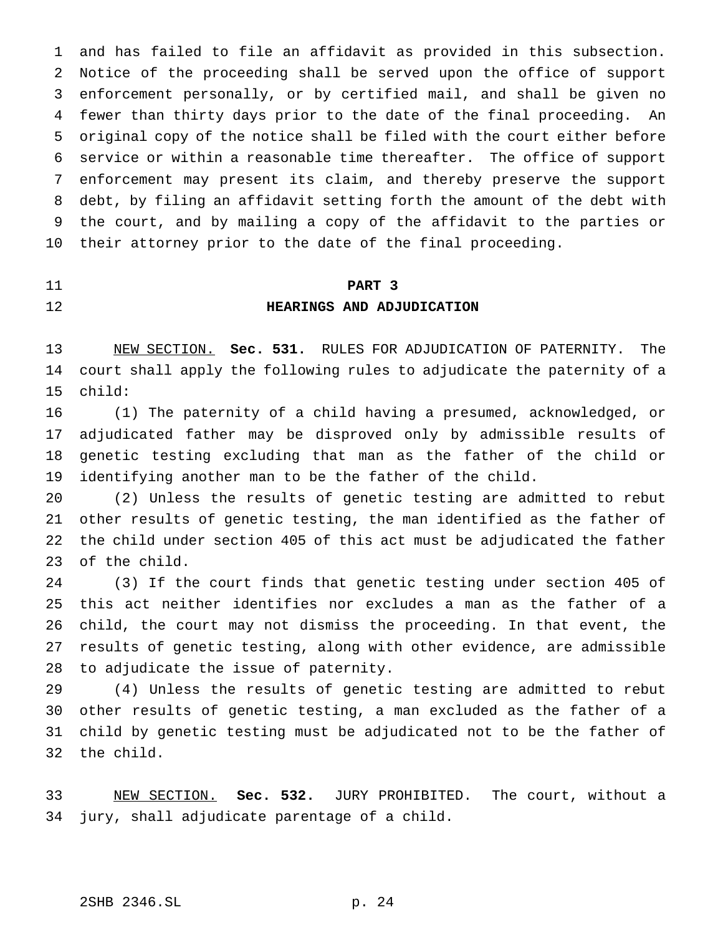and has failed to file an affidavit as provided in this subsection. Notice of the proceeding shall be served upon the office of support enforcement personally, or by certified mail, and shall be given no fewer than thirty days prior to the date of the final proceeding. An original copy of the notice shall be filed with the court either before service or within a reasonable time thereafter. The office of support enforcement may present its claim, and thereby preserve the support debt, by filing an affidavit setting forth the amount of the debt with the court, and by mailing a copy of the affidavit to the parties or their attorney prior to the date of the final proceeding.

## **PART 3 HEARINGS AND ADJUDICATION**

 NEW SECTION. **Sec. 531.** RULES FOR ADJUDICATION OF PATERNITY. The court shall apply the following rules to adjudicate the paternity of a child:

 (1) The paternity of a child having a presumed, acknowledged, or adjudicated father may be disproved only by admissible results of genetic testing excluding that man as the father of the child or identifying another man to be the father of the child.

 (2) Unless the results of genetic testing are admitted to rebut other results of genetic testing, the man identified as the father of the child under section 405 of this act must be adjudicated the father of the child.

 (3) If the court finds that genetic testing under section 405 of this act neither identifies nor excludes a man as the father of a child, the court may not dismiss the proceeding. In that event, the results of genetic testing, along with other evidence, are admissible to adjudicate the issue of paternity.

 (4) Unless the results of genetic testing are admitted to rebut other results of genetic testing, a man excluded as the father of a child by genetic testing must be adjudicated not to be the father of the child.

 NEW SECTION. **Sec. 532.** JURY PROHIBITED. The court, without a jury, shall adjudicate parentage of a child.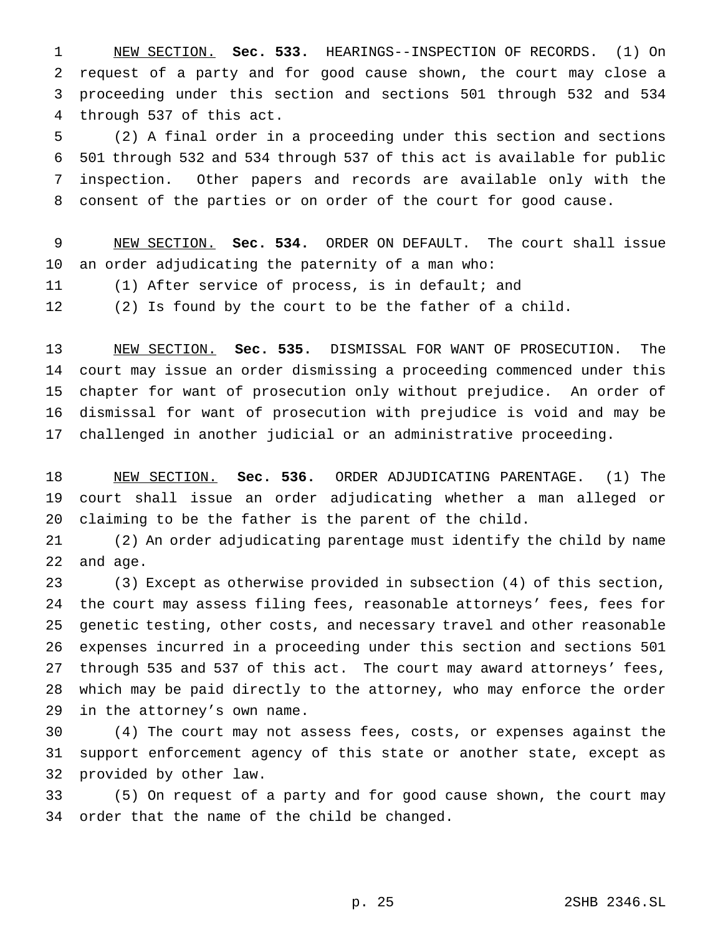NEW SECTION. **Sec. 533.** HEARINGS--INSPECTION OF RECORDS. (1) On request of a party and for good cause shown, the court may close a proceeding under this section and sections 501 through 532 and 534 through 537 of this act.

 (2) A final order in a proceeding under this section and sections 501 through 532 and 534 through 537 of this act is available for public inspection. Other papers and records are available only with the consent of the parties or on order of the court for good cause.

 NEW SECTION. **Sec. 534.** ORDER ON DEFAULT. The court shall issue an order adjudicating the paternity of a man who: (1) After service of process, is in default; and

(2) Is found by the court to be the father of a child.

 NEW SECTION. **Sec. 535.** DISMISSAL FOR WANT OF PROSECUTION. The court may issue an order dismissing a proceeding commenced under this chapter for want of prosecution only without prejudice. An order of dismissal for want of prosecution with prejudice is void and may be challenged in another judicial or an administrative proceeding.

 NEW SECTION. **Sec. 536.** ORDER ADJUDICATING PARENTAGE. (1) The court shall issue an order adjudicating whether a man alleged or claiming to be the father is the parent of the child.

 (2) An order adjudicating parentage must identify the child by name and age.

 (3) Except as otherwise provided in subsection (4) of this section, the court may assess filing fees, reasonable attorneys' fees, fees for genetic testing, other costs, and necessary travel and other reasonable expenses incurred in a proceeding under this section and sections 501 through 535 and 537 of this act. The court may award attorneys' fees, which may be paid directly to the attorney, who may enforce the order in the attorney's own name.

 (4) The court may not assess fees, costs, or expenses against the support enforcement agency of this state or another state, except as provided by other law.

 (5) On request of a party and for good cause shown, the court may order that the name of the child be changed.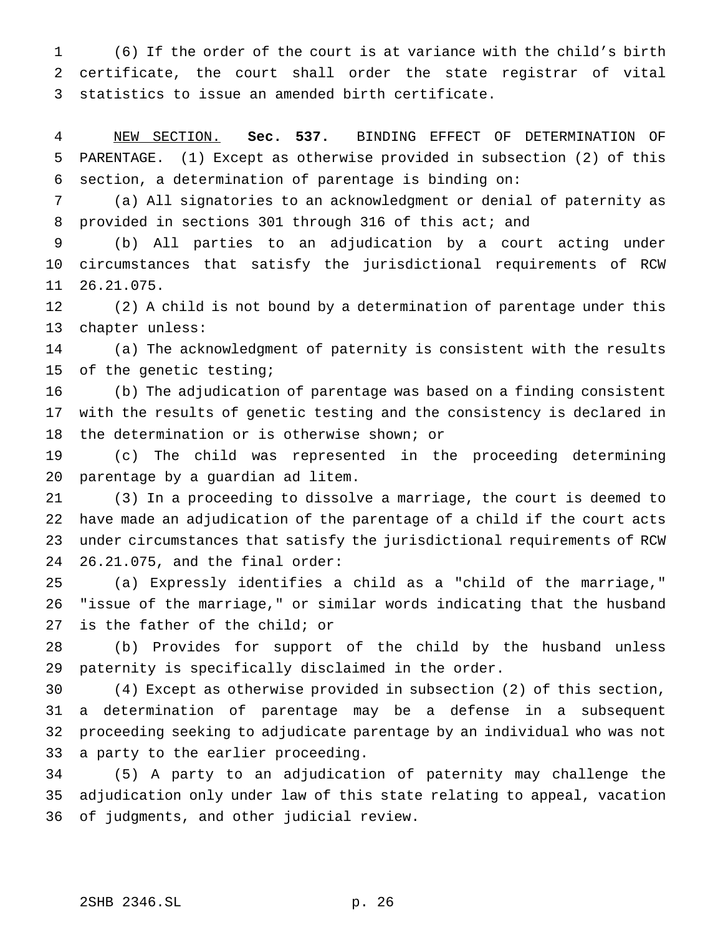(6) If the order of the court is at variance with the child's birth certificate, the court shall order the state registrar of vital statistics to issue an amended birth certificate.

 NEW SECTION. **Sec. 537.** BINDING EFFECT OF DETERMINATION OF PARENTAGE. (1) Except as otherwise provided in subsection (2) of this section, a determination of parentage is binding on:

 (a) All signatories to an acknowledgment or denial of paternity as 8 provided in sections 301 through 316 of this act; and

 (b) All parties to an adjudication by a court acting under circumstances that satisfy the jurisdictional requirements of RCW 26.21.075.

 (2) A child is not bound by a determination of parentage under this chapter unless:

 (a) The acknowledgment of paternity is consistent with the results of the genetic testing;

 (b) The adjudication of parentage was based on a finding consistent with the results of genetic testing and the consistency is declared in the determination or is otherwise shown; or

 (c) The child was represented in the proceeding determining parentage by a guardian ad litem.

 (3) In a proceeding to dissolve a marriage, the court is deemed to have made an adjudication of the parentage of a child if the court acts under circumstances that satisfy the jurisdictional requirements of RCW 26.21.075, and the final order:

 (a) Expressly identifies a child as a "child of the marriage," "issue of the marriage," or similar words indicating that the husband is the father of the child; or

 (b) Provides for support of the child by the husband unless paternity is specifically disclaimed in the order.

 (4) Except as otherwise provided in subsection (2) of this section, a determination of parentage may be a defense in a subsequent proceeding seeking to adjudicate parentage by an individual who was not a party to the earlier proceeding.

 (5) A party to an adjudication of paternity may challenge the adjudication only under law of this state relating to appeal, vacation of judgments, and other judicial review.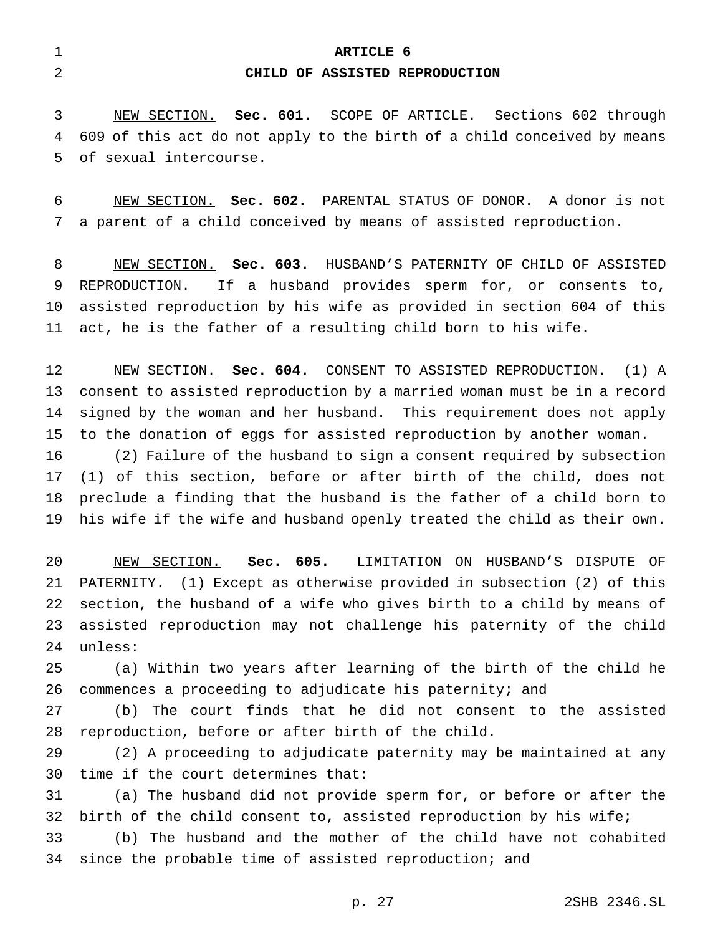| <b>ARTICLE 6</b>               |
|--------------------------------|
| CHILD OF ASSISTED REPRODUCTION |

 NEW SECTION. **Sec. 601.** SCOPE OF ARTICLE. Sections 602 through 609 of this act do not apply to the birth of a child conceived by means of sexual intercourse.

 NEW SECTION. **Sec. 602.** PARENTAL STATUS OF DONOR. A donor is not a parent of a child conceived by means of assisted reproduction.

 NEW SECTION. **Sec. 603.** HUSBAND'S PATERNITY OF CHILD OF ASSISTED REPRODUCTION. If a husband provides sperm for, or consents to, assisted reproduction by his wife as provided in section 604 of this act, he is the father of a resulting child born to his wife.

 NEW SECTION. **Sec. 604.** CONSENT TO ASSISTED REPRODUCTION. (1) A consent to assisted reproduction by a married woman must be in a record signed by the woman and her husband. This requirement does not apply to the donation of eggs for assisted reproduction by another woman.

 (2) Failure of the husband to sign a consent required by subsection (1) of this section, before or after birth of the child, does not preclude a finding that the husband is the father of a child born to his wife if the wife and husband openly treated the child as their own.

 NEW SECTION. **Sec. 605.** LIMITATION ON HUSBAND'S DISPUTE OF PATERNITY. (1) Except as otherwise provided in subsection (2) of this section, the husband of a wife who gives birth to a child by means of assisted reproduction may not challenge his paternity of the child unless:

 (a) Within two years after learning of the birth of the child he commences a proceeding to adjudicate his paternity; and

 (b) The court finds that he did not consent to the assisted reproduction, before or after birth of the child.

 (2) A proceeding to adjudicate paternity may be maintained at any time if the court determines that:

 (a) The husband did not provide sperm for, or before or after the 32 birth of the child consent to, assisted reproduction by his wife;

 (b) The husband and the mother of the child have not cohabited since the probable time of assisted reproduction; and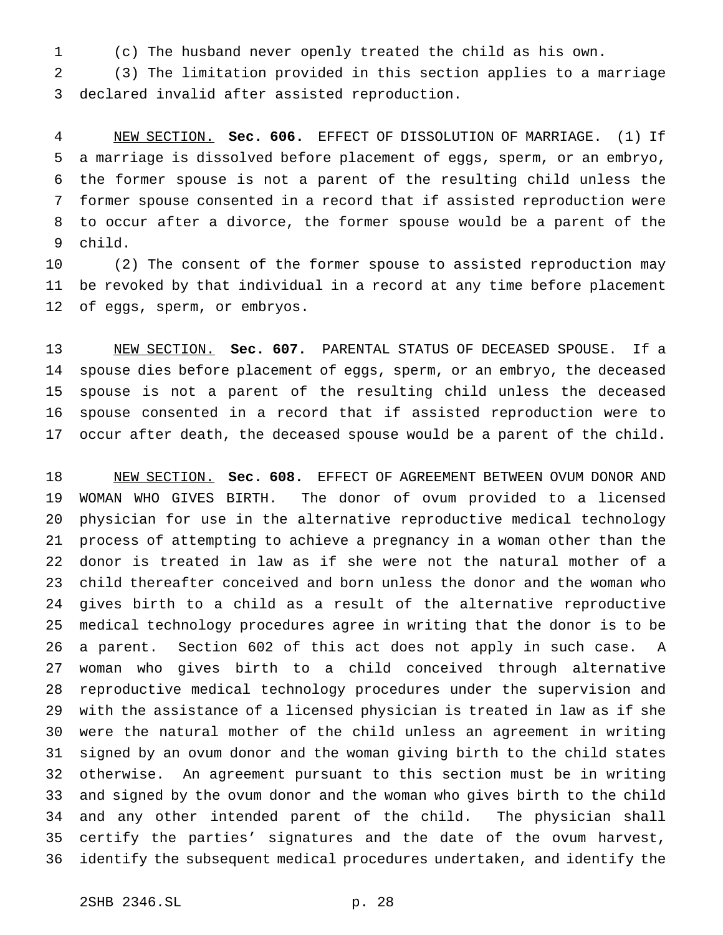(c) The husband never openly treated the child as his own.

 (3) The limitation provided in this section applies to a marriage declared invalid after assisted reproduction.

 NEW SECTION. **Sec. 606.** EFFECT OF DISSOLUTION OF MARRIAGE. (1) If a marriage is dissolved before placement of eggs, sperm, or an embryo, the former spouse is not a parent of the resulting child unless the former spouse consented in a record that if assisted reproduction were to occur after a divorce, the former spouse would be a parent of the child.

 (2) The consent of the former spouse to assisted reproduction may be revoked by that individual in a record at any time before placement of eggs, sperm, or embryos.

 NEW SECTION. **Sec. 607.** PARENTAL STATUS OF DECEASED SPOUSE. If a spouse dies before placement of eggs, sperm, or an embryo, the deceased spouse is not a parent of the resulting child unless the deceased spouse consented in a record that if assisted reproduction were to occur after death, the deceased spouse would be a parent of the child.

 NEW SECTION. **Sec. 608.** EFFECT OF AGREEMENT BETWEEN OVUM DONOR AND WOMAN WHO GIVES BIRTH. The donor of ovum provided to a licensed physician for use in the alternative reproductive medical technology process of attempting to achieve a pregnancy in a woman other than the donor is treated in law as if she were not the natural mother of a child thereafter conceived and born unless the donor and the woman who gives birth to a child as a result of the alternative reproductive medical technology procedures agree in writing that the donor is to be a parent. Section 602 of this act does not apply in such case. A woman who gives birth to a child conceived through alternative reproductive medical technology procedures under the supervision and with the assistance of a licensed physician is treated in law as if she were the natural mother of the child unless an agreement in writing signed by an ovum donor and the woman giving birth to the child states otherwise. An agreement pursuant to this section must be in writing and signed by the ovum donor and the woman who gives birth to the child and any other intended parent of the child. The physician shall certify the parties' signatures and the date of the ovum harvest, identify the subsequent medical procedures undertaken, and identify the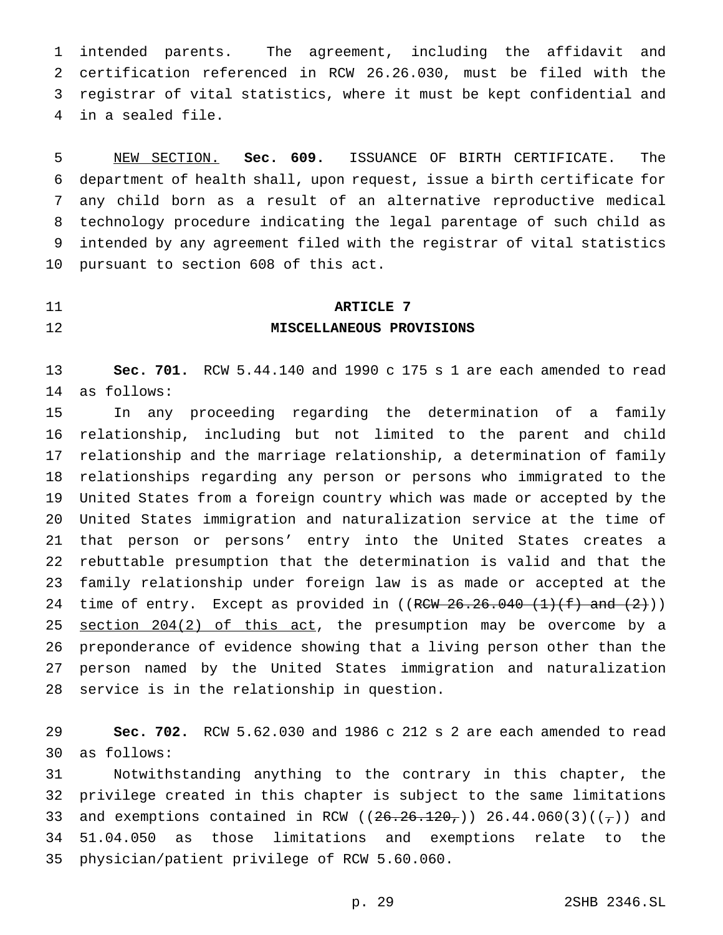intended parents. The agreement, including the affidavit and certification referenced in RCW 26.26.030, must be filed with the registrar of vital statistics, where it must be kept confidential and in a sealed file.

 NEW SECTION. **Sec. 609.** ISSUANCE OF BIRTH CERTIFICATE. The department of health shall, upon request, issue a birth certificate for any child born as a result of an alternative reproductive medical technology procedure indicating the legal parentage of such child as intended by any agreement filed with the registrar of vital statistics pursuant to section 608 of this act.

## **ARTICLE 7 MISCELLANEOUS PROVISIONS**

 **Sec. 701.** RCW 5.44.140 and 1990 c 175 s 1 are each amended to read as follows:

 In any proceeding regarding the determination of a family relationship, including but not limited to the parent and child relationship and the marriage relationship, a determination of family relationships regarding any person or persons who immigrated to the United States from a foreign country which was made or accepted by the United States immigration and naturalization service at the time of that person or persons' entry into the United States creates a rebuttable presumption that the determination is valid and that the family relationship under foreign law is as made or accepted at the 24 time of entry. Except as provided in  $((RCW 26.26.040 (1)(f) and (2)))$ 25 section 204(2) of this act, the presumption may be overcome by a preponderance of evidence showing that a living person other than the person named by the United States immigration and naturalization service is in the relationship in question.

 **Sec. 702.** RCW 5.62.030 and 1986 c 212 s 2 are each amended to read as follows:

 Notwithstanding anything to the contrary in this chapter, the privilege created in this chapter is subject to the same limitations 33 and exemptions contained in RCW ( $(26.26.120, )$ ) 26.44.060(3)( $(\frac{1}{7})$ ) and 51.04.050 as those limitations and exemptions relate to the physician/patient privilege of RCW 5.60.060.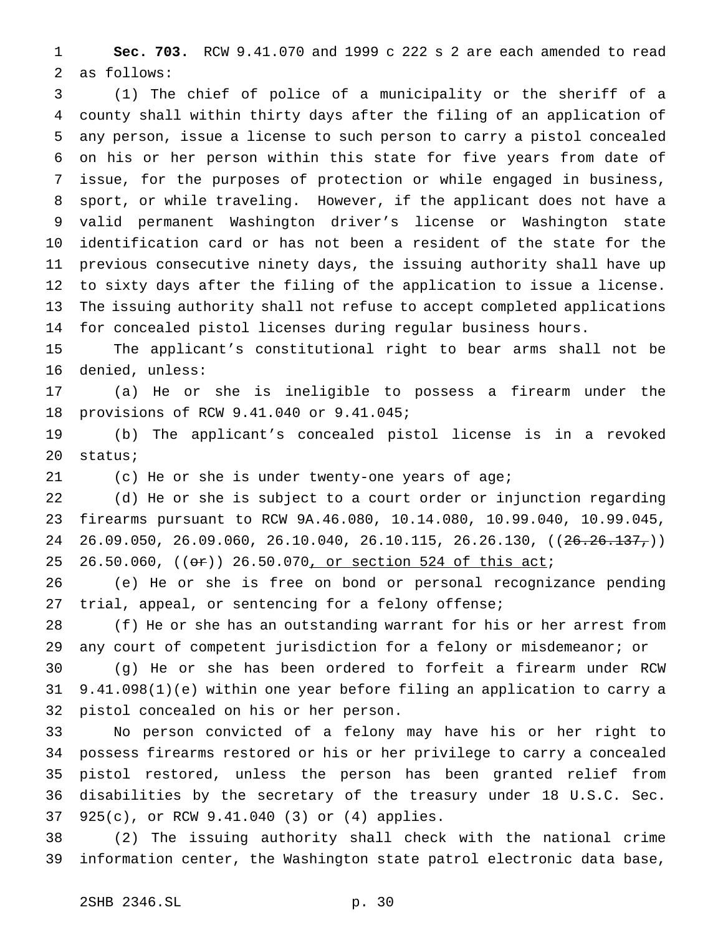**Sec. 703.** RCW 9.41.070 and 1999 c 222 s 2 are each amended to read as follows:

 (1) The chief of police of a municipality or the sheriff of a county shall within thirty days after the filing of an application of any person, issue a license to such person to carry a pistol concealed on his or her person within this state for five years from date of issue, for the purposes of protection or while engaged in business, sport, or while traveling. However, if the applicant does not have a valid permanent Washington driver's license or Washington state identification card or has not been a resident of the state for the previous consecutive ninety days, the issuing authority shall have up to sixty days after the filing of the application to issue a license. The issuing authority shall not refuse to accept completed applications for concealed pistol licenses during regular business hours.

 The applicant's constitutional right to bear arms shall not be denied, unless:

 (a) He or she is ineligible to possess a firearm under the provisions of RCW 9.41.040 or 9.41.045;

 (b) The applicant's concealed pistol license is in a revoked status;

(c) He or she is under twenty-one years of age;

 (d) He or she is subject to a court order or injunction regarding firearms pursuant to RCW 9A.46.080, 10.14.080, 10.99.040, 10.99.045, 24 26.09.050, 26.09.060, 26.10.040, 26.10.115, 26.26.130, ((<del>26.26.137,</del>)) 25 26.50.060, ((or)) 26.50.070, or section 524 of this act;

 (e) He or she is free on bond or personal recognizance pending trial, appeal, or sentencing for a felony offense;

 (f) He or she has an outstanding warrant for his or her arrest from any court of competent jurisdiction for a felony or misdemeanor; or

 (g) He or she has been ordered to forfeit a firearm under RCW 9.41.098(1)(e) within one year before filing an application to carry a pistol concealed on his or her person.

 No person convicted of a felony may have his or her right to possess firearms restored or his or her privilege to carry a concealed pistol restored, unless the person has been granted relief from disabilities by the secretary of the treasury under 18 U.S.C. Sec. 925(c), or RCW 9.41.040 (3) or (4) applies.

 (2) The issuing authority shall check with the national crime information center, the Washington state patrol electronic data base,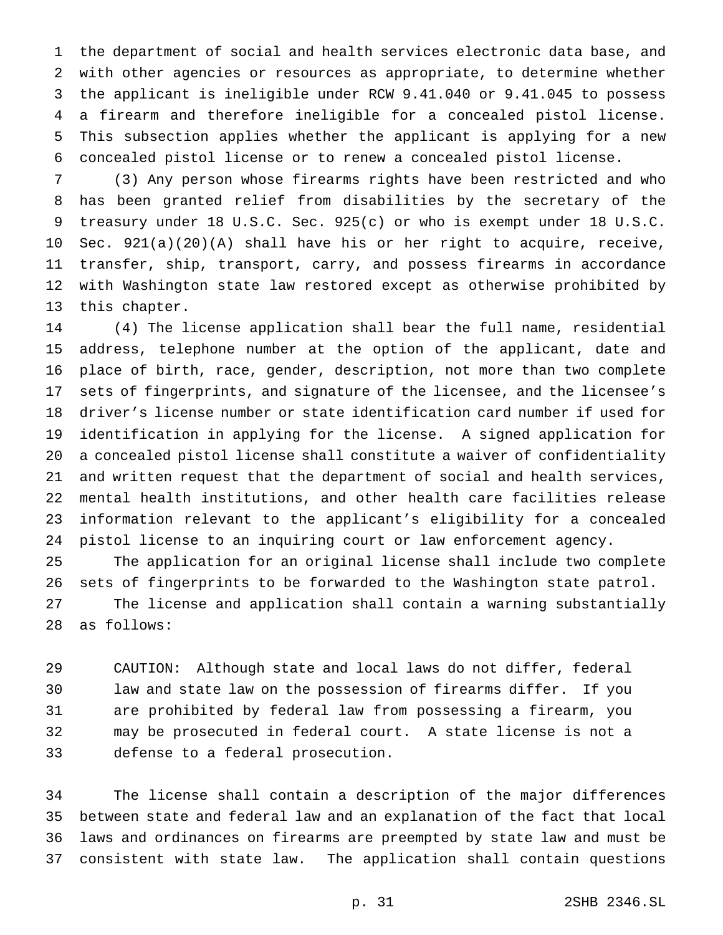the department of social and health services electronic data base, and with other agencies or resources as appropriate, to determine whether the applicant is ineligible under RCW 9.41.040 or 9.41.045 to possess a firearm and therefore ineligible for a concealed pistol license. This subsection applies whether the applicant is applying for a new concealed pistol license or to renew a concealed pistol license.

 (3) Any person whose firearms rights have been restricted and who has been granted relief from disabilities by the secretary of the treasury under 18 U.S.C. Sec. 925(c) or who is exempt under 18 U.S.C. Sec. 921(a)(20)(A) shall have his or her right to acquire, receive, transfer, ship, transport, carry, and possess firearms in accordance with Washington state law restored except as otherwise prohibited by this chapter.

 (4) The license application shall bear the full name, residential address, telephone number at the option of the applicant, date and place of birth, race, gender, description, not more than two complete sets of fingerprints, and signature of the licensee, and the licensee's driver's license number or state identification card number if used for identification in applying for the license. A signed application for a concealed pistol license shall constitute a waiver of confidentiality and written request that the department of social and health services, mental health institutions, and other health care facilities release information relevant to the applicant's eligibility for a concealed pistol license to an inquiring court or law enforcement agency.

 The application for an original license shall include two complete sets of fingerprints to be forwarded to the Washington state patrol. The license and application shall contain a warning substantially as follows:

 CAUTION: Although state and local laws do not differ, federal law and state law on the possession of firearms differ. If you are prohibited by federal law from possessing a firearm, you may be prosecuted in federal court. A state license is not a defense to a federal prosecution.

 The license shall contain a description of the major differences between state and federal law and an explanation of the fact that local laws and ordinances on firearms are preempted by state law and must be consistent with state law. The application shall contain questions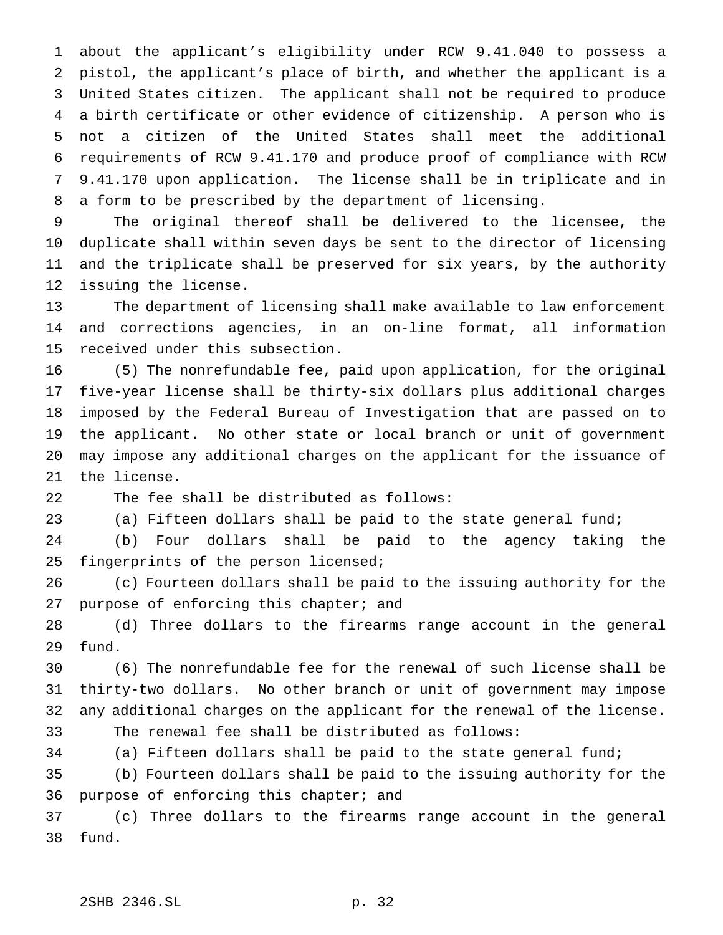about the applicant's eligibility under RCW 9.41.040 to possess a pistol, the applicant's place of birth, and whether the applicant is a United States citizen. The applicant shall not be required to produce a birth certificate or other evidence of citizenship. A person who is not a citizen of the United States shall meet the additional requirements of RCW 9.41.170 and produce proof of compliance with RCW 9.41.170 upon application. The license shall be in triplicate and in a form to be prescribed by the department of licensing.

 The original thereof shall be delivered to the licensee, the duplicate shall within seven days be sent to the director of licensing and the triplicate shall be preserved for six years, by the authority issuing the license.

 The department of licensing shall make available to law enforcement and corrections agencies, in an on-line format, all information received under this subsection.

 (5) The nonrefundable fee, paid upon application, for the original five-year license shall be thirty-six dollars plus additional charges imposed by the Federal Bureau of Investigation that are passed on to the applicant. No other state or local branch or unit of government may impose any additional charges on the applicant for the issuance of the license.

The fee shall be distributed as follows:

(a) Fifteen dollars shall be paid to the state general fund;

 (b) Four dollars shall be paid to the agency taking the fingerprints of the person licensed;

 (c) Fourteen dollars shall be paid to the issuing authority for the 27 purpose of enforcing this chapter; and

 (d) Three dollars to the firearms range account in the general fund.

 (6) The nonrefundable fee for the renewal of such license shall be thirty-two dollars. No other branch or unit of government may impose any additional charges on the applicant for the renewal of the license. The renewal fee shall be distributed as follows:

(a) Fifteen dollars shall be paid to the state general fund;

 (b) Fourteen dollars shall be paid to the issuing authority for the purpose of enforcing this chapter; and

 (c) Three dollars to the firearms range account in the general fund.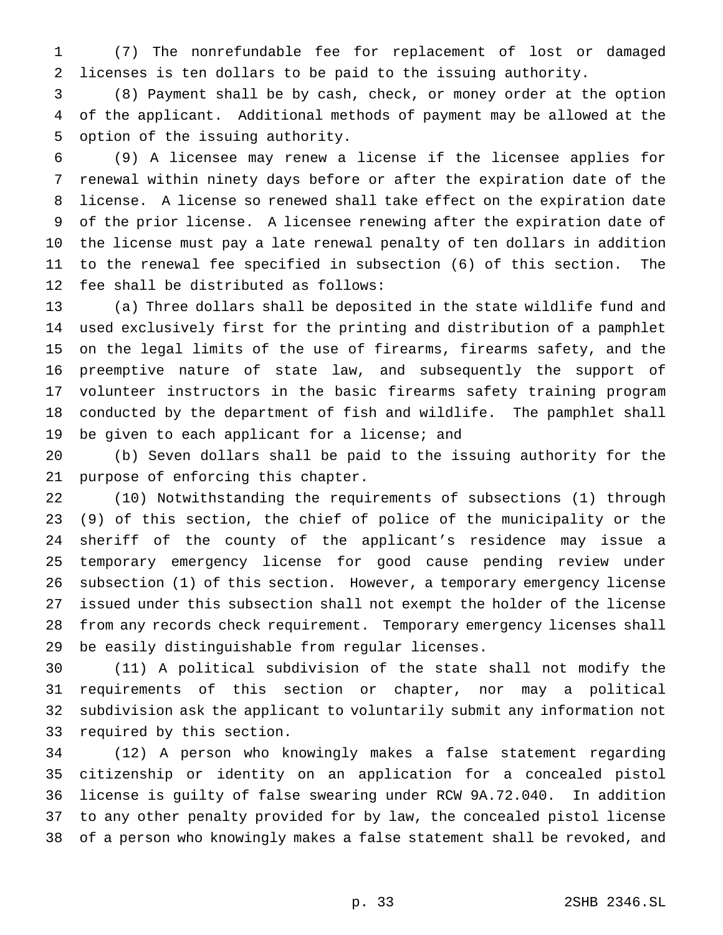(7) The nonrefundable fee for replacement of lost or damaged licenses is ten dollars to be paid to the issuing authority.

 (8) Payment shall be by cash, check, or money order at the option of the applicant. Additional methods of payment may be allowed at the option of the issuing authority.

 (9) A licensee may renew a license if the licensee applies for renewal within ninety days before or after the expiration date of the license. A license so renewed shall take effect on the expiration date of the prior license. A licensee renewing after the expiration date of the license must pay a late renewal penalty of ten dollars in addition to the renewal fee specified in subsection (6) of this section. The fee shall be distributed as follows:

 (a) Three dollars shall be deposited in the state wildlife fund and used exclusively first for the printing and distribution of a pamphlet on the legal limits of the use of firearms, firearms safety, and the preemptive nature of state law, and subsequently the support of volunteer instructors in the basic firearms safety training program conducted by the department of fish and wildlife. The pamphlet shall be given to each applicant for a license; and

 (b) Seven dollars shall be paid to the issuing authority for the purpose of enforcing this chapter.

 (10) Notwithstanding the requirements of subsections (1) through (9) of this section, the chief of police of the municipality or the sheriff of the county of the applicant's residence may issue a temporary emergency license for good cause pending review under subsection (1) of this section. However, a temporary emergency license issued under this subsection shall not exempt the holder of the license from any records check requirement. Temporary emergency licenses shall be easily distinguishable from regular licenses.

 (11) A political subdivision of the state shall not modify the requirements of this section or chapter, nor may a political subdivision ask the applicant to voluntarily submit any information not required by this section.

 (12) A person who knowingly makes a false statement regarding citizenship or identity on an application for a concealed pistol license is guilty of false swearing under RCW 9A.72.040. In addition to any other penalty provided for by law, the concealed pistol license of a person who knowingly makes a false statement shall be revoked, and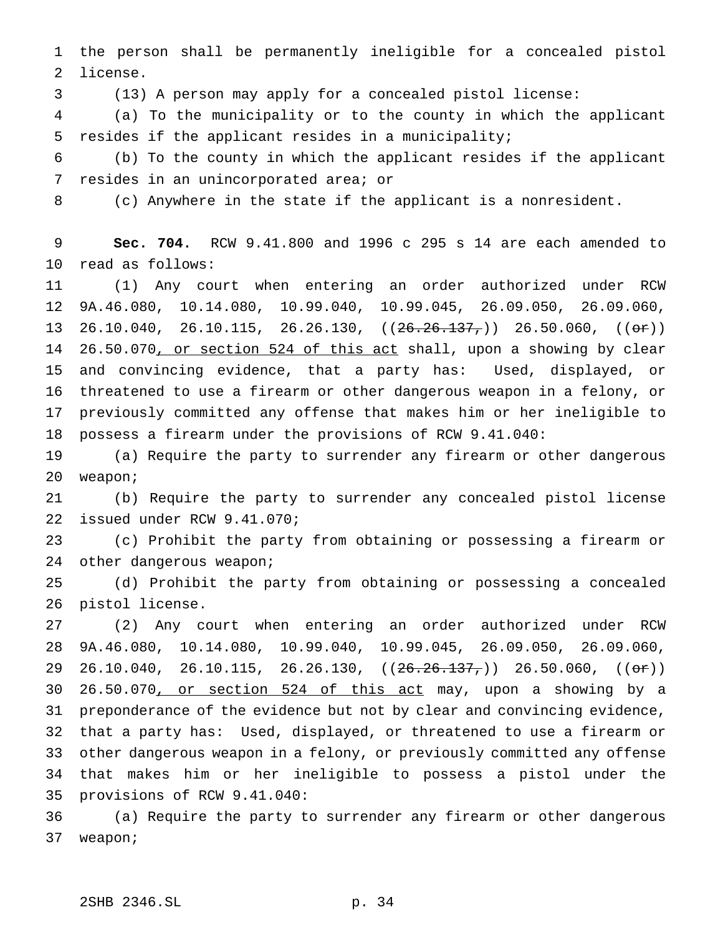the person shall be permanently ineligible for a concealed pistol license.

(13) A person may apply for a concealed pistol license:

 (a) To the municipality or to the county in which the applicant resides if the applicant resides in a municipality;

 (b) To the county in which the applicant resides if the applicant resides in an unincorporated area; or

(c) Anywhere in the state if the applicant is a nonresident.

 **Sec. 704.** RCW 9.41.800 and 1996 c 295 s 14 are each amended to read as follows:

 (1) Any court when entering an order authorized under RCW 9A.46.080, 10.14.080, 10.99.040, 10.99.045, 26.09.050, 26.09.060, 13 26.10.040, 26.10.115, 26.26.130,  $((26.26.137.))$  26.50.060,  $((0r))$ 14 26.50.070, or section 524 of this act shall, upon a showing by clear and convincing evidence, that a party has: Used, displayed, or threatened to use a firearm or other dangerous weapon in a felony, or previously committed any offense that makes him or her ineligible to possess a firearm under the provisions of RCW 9.41.040:

 (a) Require the party to surrender any firearm or other dangerous weapon;

 (b) Require the party to surrender any concealed pistol license issued under RCW 9.41.070;

 (c) Prohibit the party from obtaining or possessing a firearm or 24 other dangerous weapon;

 (d) Prohibit the party from obtaining or possessing a concealed pistol license.

 (2) Any court when entering an order authorized under RCW 9A.46.080, 10.14.080, 10.99.040, 10.99.045, 26.09.050, 26.09.060, 29 26.10.040, 26.10.115, 26.26.130,  $((26.26.137.))$  26.50.060,  $((0r))$  26.50.070, or section 524 of this act may, upon a showing by a preponderance of the evidence but not by clear and convincing evidence, that a party has: Used, displayed, or threatened to use a firearm or other dangerous weapon in a felony, or previously committed any offense that makes him or her ineligible to possess a pistol under the provisions of RCW 9.41.040:

 (a) Require the party to surrender any firearm or other dangerous weapon;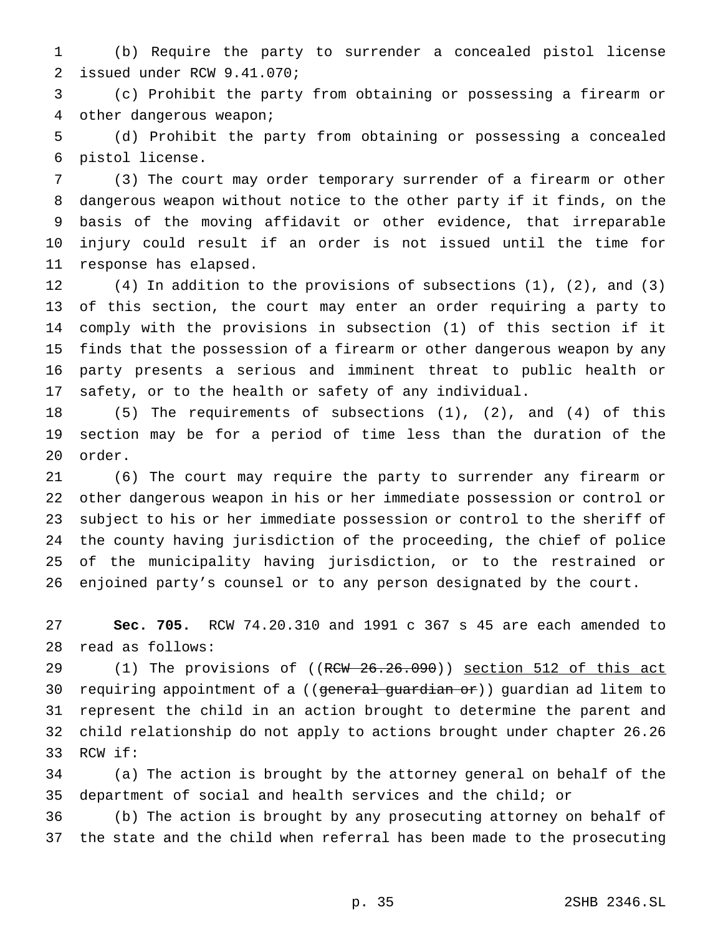(b) Require the party to surrender a concealed pistol license issued under RCW 9.41.070;

 (c) Prohibit the party from obtaining or possessing a firearm or other dangerous weapon;

 (d) Prohibit the party from obtaining or possessing a concealed pistol license.

 (3) The court may order temporary surrender of a firearm or other dangerous weapon without notice to the other party if it finds, on the basis of the moving affidavit or other evidence, that irreparable injury could result if an order is not issued until the time for response has elapsed.

 (4) In addition to the provisions of subsections (1), (2), and (3) of this section, the court may enter an order requiring a party to comply with the provisions in subsection (1) of this section if it finds that the possession of a firearm or other dangerous weapon by any party presents a serious and imminent threat to public health or safety, or to the health or safety of any individual.

 (5) The requirements of subsections (1), (2), and (4) of this section may be for a period of time less than the duration of the order.

 (6) The court may require the party to surrender any firearm or other dangerous weapon in his or her immediate possession or control or subject to his or her immediate possession or control to the sheriff of the county having jurisdiction of the proceeding, the chief of police of the municipality having jurisdiction, or to the restrained or enjoined party's counsel or to any person designated by the court.

 **Sec. 705.** RCW 74.20.310 and 1991 c 367 s 45 are each amended to read as follows:

29 (1) The provisions of ((RCW 26.26.090)) section 512 of this act 30 requiring appointment of a ((general guardian or)) guardian ad litem to represent the child in an action brought to determine the parent and child relationship do not apply to actions brought under chapter 26.26 RCW if:

 (a) The action is brought by the attorney general on behalf of the department of social and health services and the child; or

 (b) The action is brought by any prosecuting attorney on behalf of the state and the child when referral has been made to the prosecuting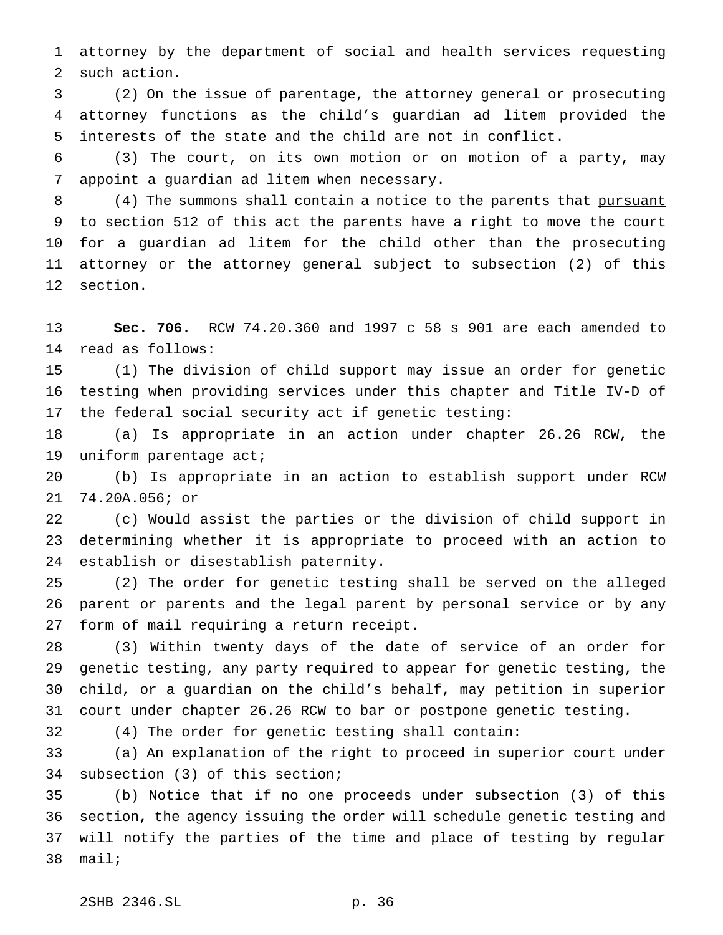attorney by the department of social and health services requesting such action.

 (2) On the issue of parentage, the attorney general or prosecuting attorney functions as the child's guardian ad litem provided the interests of the state and the child are not in conflict.

 (3) The court, on its own motion or on motion of a party, may appoint a guardian ad litem when necessary.

8 (4) The summons shall contain a notice to the parents that pursuant 9 to section 512 of this act the parents have a right to move the court for a guardian ad litem for the child other than the prosecuting attorney or the attorney general subject to subsection (2) of this section.

 **Sec. 706.** RCW 74.20.360 and 1997 c 58 s 901 are each amended to read as follows:

 (1) The division of child support may issue an order for genetic testing when providing services under this chapter and Title IV-D of the federal social security act if genetic testing:

 (a) Is appropriate in an action under chapter 26.26 RCW, the 19 uniform parentage act;

 (b) Is appropriate in an action to establish support under RCW 74.20A.056; or

 (c) Would assist the parties or the division of child support in determining whether it is appropriate to proceed with an action to establish or disestablish paternity.

 (2) The order for genetic testing shall be served on the alleged parent or parents and the legal parent by personal service or by any form of mail requiring a return receipt.

 (3) Within twenty days of the date of service of an order for genetic testing, any party required to appear for genetic testing, the child, or a guardian on the child's behalf, may petition in superior court under chapter 26.26 RCW to bar or postpone genetic testing.

(4) The order for genetic testing shall contain:

 (a) An explanation of the right to proceed in superior court under subsection (3) of this section;

 (b) Notice that if no one proceeds under subsection (3) of this section, the agency issuing the order will schedule genetic testing and will notify the parties of the time and place of testing by regular mail;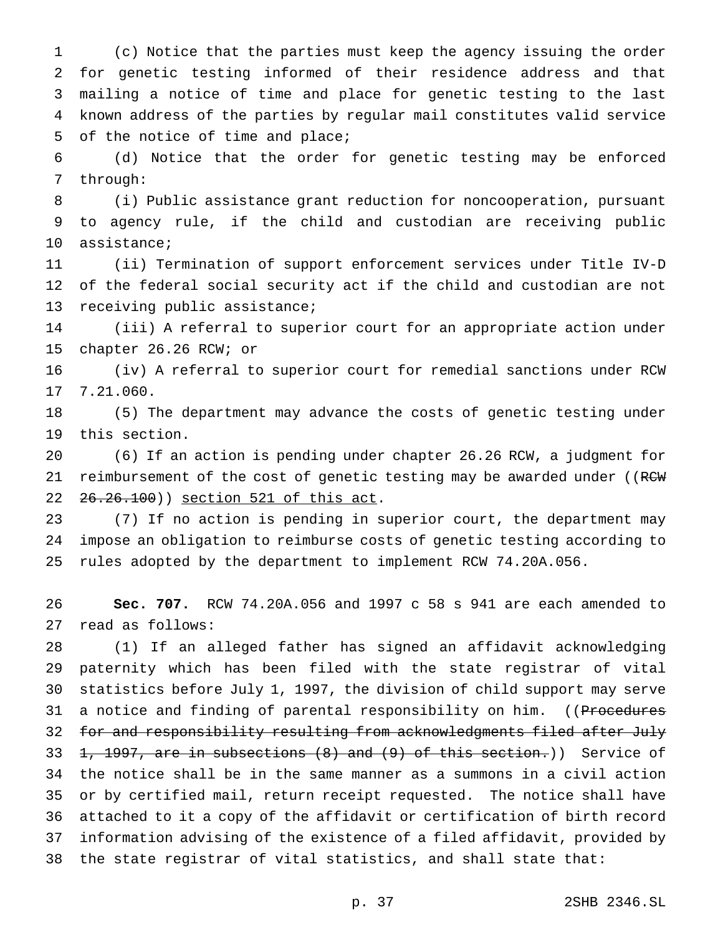(c) Notice that the parties must keep the agency issuing the order for genetic testing informed of their residence address and that mailing a notice of time and place for genetic testing to the last known address of the parties by regular mail constitutes valid service of the notice of time and place;

 (d) Notice that the order for genetic testing may be enforced through:

 (i) Public assistance grant reduction for noncooperation, pursuant to agency rule, if the child and custodian are receiving public assistance;

 (ii) Termination of support enforcement services under Title IV-D of the federal social security act if the child and custodian are not receiving public assistance;

 (iii) A referral to superior court for an appropriate action under chapter 26.26 RCW; or

 (iv) A referral to superior court for remedial sanctions under RCW 7.21.060.

 (5) The department may advance the costs of genetic testing under this section.

 (6) If an action is pending under chapter 26.26 RCW, a judgment for 21 reimbursement of the cost of genetic testing may be awarded under ((RCW 26.26.100)) section 521 of this act.

 (7) If no action is pending in superior court, the department may impose an obligation to reimburse costs of genetic testing according to rules adopted by the department to implement RCW 74.20A.056.

 **Sec. 707.** RCW 74.20A.056 and 1997 c 58 s 941 are each amended to read as follows:

 (1) If an alleged father has signed an affidavit acknowledging paternity which has been filed with the state registrar of vital statistics before July 1, 1997, the division of child support may serve 31 a notice and finding of parental responsibility on him. ((Procedures 32 for and responsibility resulting from acknowledgments filed after July  $\pm$ , 1997, are in subsections (8) and (9) of this section.)) Service of the notice shall be in the same manner as a summons in a civil action or by certified mail, return receipt requested. The notice shall have attached to it a copy of the affidavit or certification of birth record information advising of the existence of a filed affidavit, provided by the state registrar of vital statistics, and shall state that: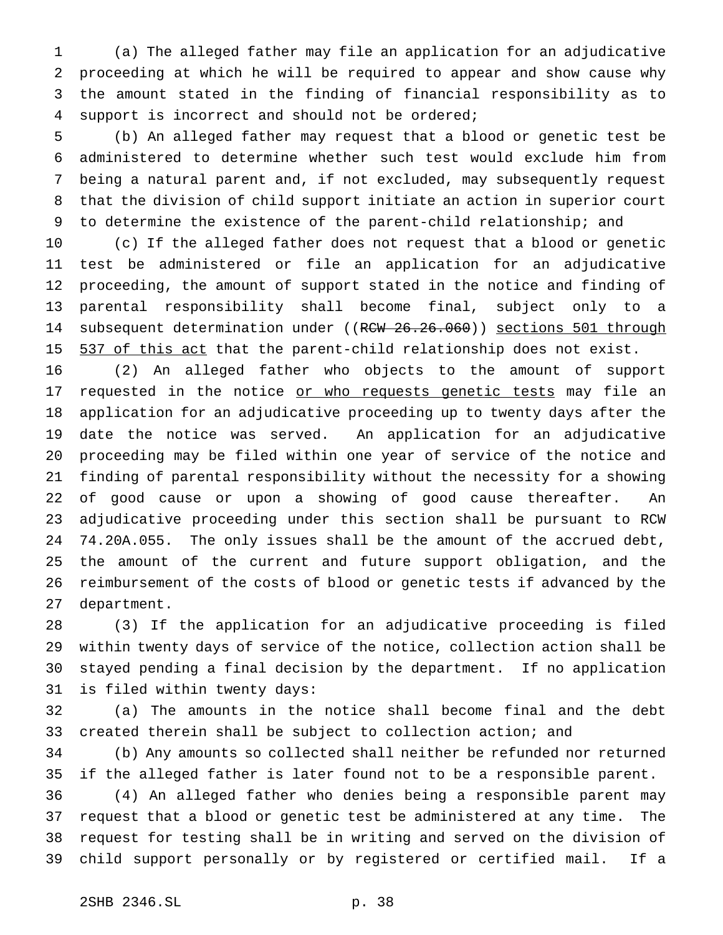(a) The alleged father may file an application for an adjudicative proceeding at which he will be required to appear and show cause why the amount stated in the finding of financial responsibility as to support is incorrect and should not be ordered;

 (b) An alleged father may request that a blood or genetic test be administered to determine whether such test would exclude him from being a natural parent and, if not excluded, may subsequently request that the division of child support initiate an action in superior court to determine the existence of the parent-child relationship; and

 (c) If the alleged father does not request that a blood or genetic test be administered or file an application for an adjudicative proceeding, the amount of support stated in the notice and finding of parental responsibility shall become final, subject only to a 14 subsequent determination under ((RCW 26.26.060)) sections 501 through 15 537 of this act that the parent-child relationship does not exist.

 (2) An alleged father who objects to the amount of support 17 requested in the notice or who requests genetic tests may file an application for an adjudicative proceeding up to twenty days after the date the notice was served. An application for an adjudicative proceeding may be filed within one year of service of the notice and finding of parental responsibility without the necessity for a showing of good cause or upon a showing of good cause thereafter. An adjudicative proceeding under this section shall be pursuant to RCW 74.20A.055. The only issues shall be the amount of the accrued debt, the amount of the current and future support obligation, and the reimbursement of the costs of blood or genetic tests if advanced by the department.

 (3) If the application for an adjudicative proceeding is filed within twenty days of service of the notice, collection action shall be stayed pending a final decision by the department. If no application is filed within twenty days:

 (a) The amounts in the notice shall become final and the debt created therein shall be subject to collection action; and

 (b) Any amounts so collected shall neither be refunded nor returned if the alleged father is later found not to be a responsible parent.

 (4) An alleged father who denies being a responsible parent may request that a blood or genetic test be administered at any time. The request for testing shall be in writing and served on the division of child support personally or by registered or certified mail. If a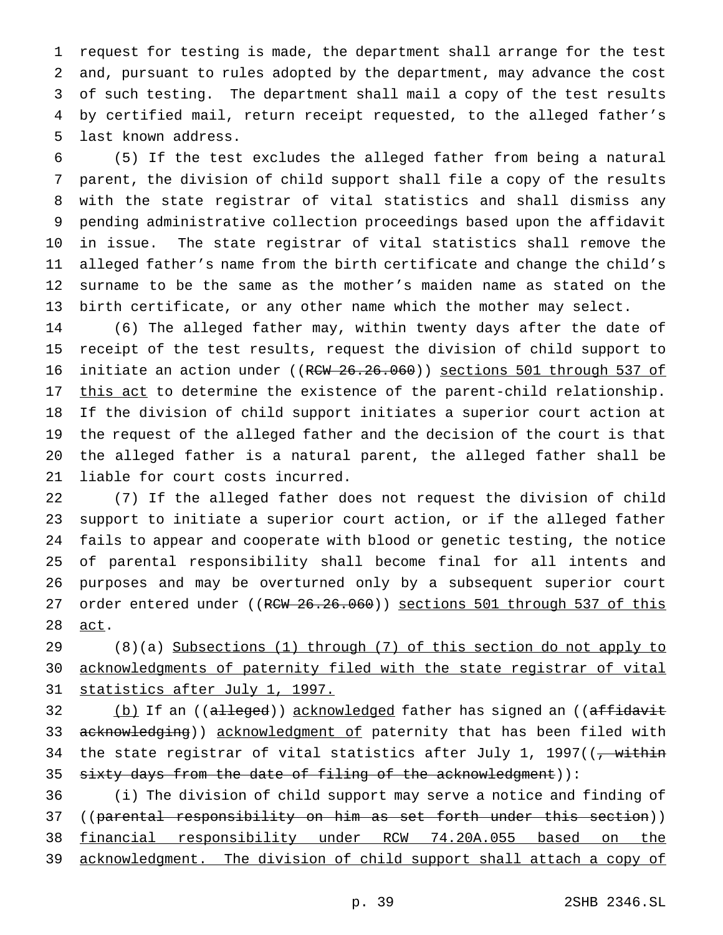request for testing is made, the department shall arrange for the test and, pursuant to rules adopted by the department, may advance the cost of such testing. The department shall mail a copy of the test results by certified mail, return receipt requested, to the alleged father's last known address.

 (5) If the test excludes the alleged father from being a natural parent, the division of child support shall file a copy of the results with the state registrar of vital statistics and shall dismiss any pending administrative collection proceedings based upon the affidavit in issue. The state registrar of vital statistics shall remove the alleged father's name from the birth certificate and change the child's surname to be the same as the mother's maiden name as stated on the birth certificate, or any other name which the mother may select.

 (6) The alleged father may, within twenty days after the date of receipt of the test results, request the division of child support to 16 initiate an action under ((RCW 26.26.060)) sections 501 through 537 of 17 this act to determine the existence of the parent-child relationship. If the division of child support initiates a superior court action at the request of the alleged father and the decision of the court is that the alleged father is a natural parent, the alleged father shall be liable for court costs incurred.

 (7) If the alleged father does not request the division of child support to initiate a superior court action, or if the alleged father fails to appear and cooperate with blood or genetic testing, the notice of parental responsibility shall become final for all intents and purposes and may be overturned only by a subsequent superior court 27 order entered under ((RCW 26.26.060)) sections 501 through 537 of this act.

 (8)(a) Subsections (1) through (7) of this section do not apply to acknowledgments of paternity filed with the state registrar of vital statistics after July 1, 1997.

32 (b) If an ((alleged)) acknowledged father has signed an ((affidavit 33 acknowledging)) acknowledgment of paternity that has been filed with 34 the state registrar of vital statistics after July 1, 1997( $\frac{1}{7}$  within 35 sixty days from the date of filing of the acknowledgment)):

 (i) The division of child support may serve a notice and finding of 37 ((parental responsibility on him as set forth under this section)) financial responsibility under RCW 74.20A.055 based on the acknowledgment. The division of child support shall attach a copy of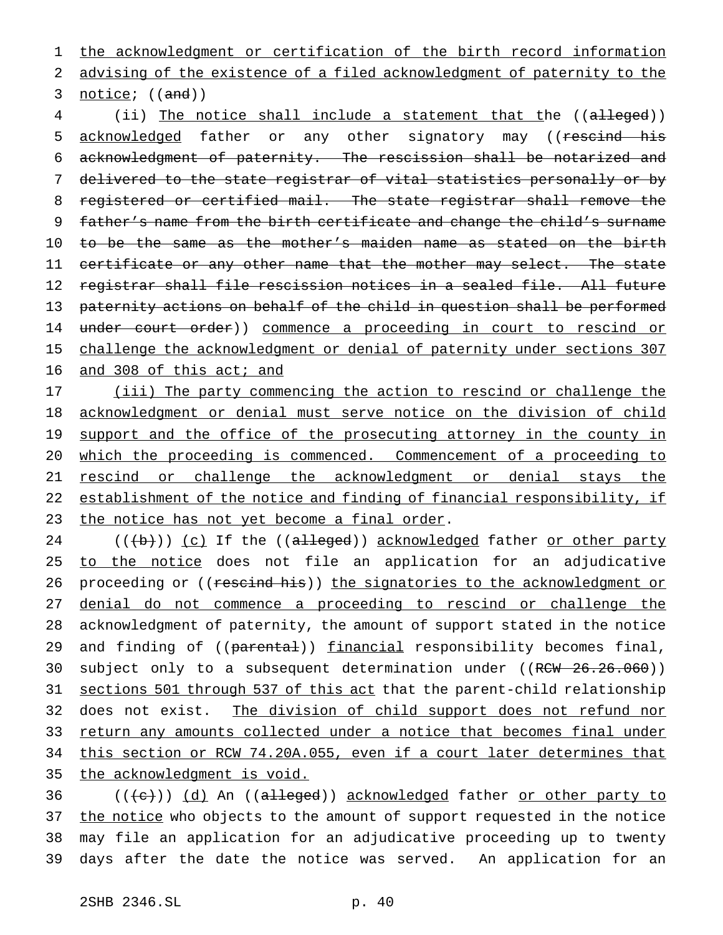1 the acknowledgment or certification of the birth record information 2 advising of the existence of a filed acknowledgment of paternity to the 3 notice; ((and))

4 (ii) The notice shall include a statement that the ((alleged)) 5 acknowledged father or any other signatory may ((rescind his 6 acknowledgment of paternity. The rescission shall be notarized and 7 delivered to the state registrar of vital statistics personally or by 8 registered or certified mail. The state registrar shall remove the 9 father's name from the birth certificate and change the child's surname 10 to be the same as the mother's maiden name as stated on the birth 11 certificate or any other name that the mother may select. The state 12 registrar shall file rescission notices in a sealed file. All future 13 paternity actions on behalf of the child in question shall be performed 14 under court order)) commence a proceeding in court to rescind or 15 challenge the acknowledgment or denial of paternity under sections 307 16 and 308 of this act; and

17 (iii) The party commencing the action to rescind or challenge the 18 acknowledgment or denial must serve notice on the division of child 19 support and the office of the prosecuting attorney in the county in 20 which the proceeding is commenced. Commencement of a proceeding to 21 rescind or challenge the acknowledgment or denial stays the 22 establishment of the notice and finding of financial responsibility, if 23 the notice has not yet become a final order.

 $((\{\})\)$  (c) If the ((alleged)) acknowledged father or other party 25 to the notice does not file an application for an adjudicative 26 proceeding or ((rescind his)) the signatories to the acknowledgment or denial do not commence a proceeding to rescind or challenge the acknowledgment of paternity, the amount of support stated in the notice 29 and finding of ((parental)) financial responsibility becomes final, 30 subject only to a subsequent determination under ((RCW 26.26.060)) sections 501 through 537 of this act that the parent-child relationship does not exist. The division of child support does not refund nor return any amounts collected under a notice that becomes final under this section or RCW 74.20A.055, even if a court later determines that the acknowledgment is void.

36 (((e)) (d) An ((alleged)) acknowledged father or other party to 37 the notice who objects to the amount of support requested in the notice 38 may file an application for an adjudicative proceeding up to twenty 39 days after the date the notice was served. An application for an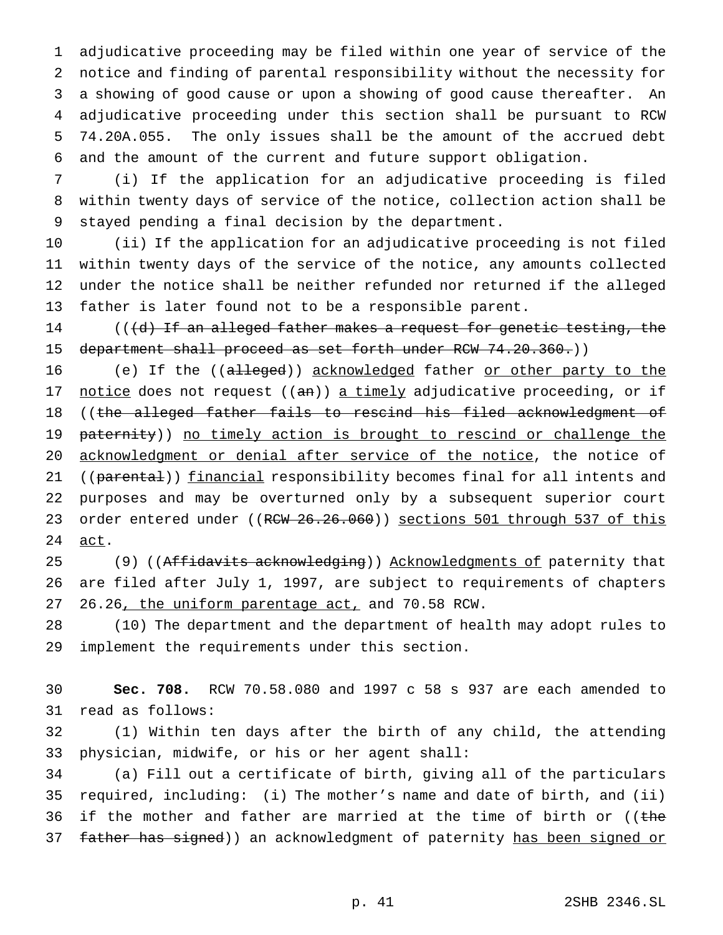adjudicative proceeding may be filed within one year of service of the notice and finding of parental responsibility without the necessity for a showing of good cause or upon a showing of good cause thereafter. An adjudicative proceeding under this section shall be pursuant to RCW 74.20A.055. The only issues shall be the amount of the accrued debt and the amount of the current and future support obligation.

 (i) If the application for an adjudicative proceeding is filed within twenty days of service of the notice, collection action shall be stayed pending a final decision by the department.

 (ii) If the application for an adjudicative proceeding is not filed within twenty days of the service of the notice, any amounts collected under the notice shall be neither refunded nor returned if the alleged father is later found not to be a responsible parent.

14 (((d) If an alleged father makes a request for genetic testing, the 15 department shall proceed as set forth under RCW 74.20.360.))

16 (e) If the ((alleged)) acknowledged father or other party to the 17 notice does not request ((an)) a timely adjudicative proceeding, or if 18 ((the alleged father fails to rescind his filed acknowledgment of 19 paternity)) no timely action is brought to rescind or challenge the acknowledgment or denial after service of the notice, the notice of 21 ((parental)) financial responsibility becomes final for all intents and purposes and may be overturned only by a subsequent superior court 23 order entered under ((RCW 26.26.060)) sections 501 through 537 of this 24 act.

25 (9) ((Affidavits acknowledging)) Acknowledgments of paternity that are filed after July 1, 1997, are subject to requirements of chapters 26.26, the uniform parentage act, and 70.58 RCW.

 (10) The department and the department of health may adopt rules to implement the requirements under this section.

 **Sec. 708.** RCW 70.58.080 and 1997 c 58 s 937 are each amended to read as follows:

 (1) Within ten days after the birth of any child, the attending physician, midwife, or his or her agent shall:

 (a) Fill out a certificate of birth, giving all of the particulars required, including: (i) The mother's name and date of birth, and (ii) 36 if the mother and father are married at the time of birth or  $($  (the 37 father has signed)) an acknowledgment of paternity has been signed or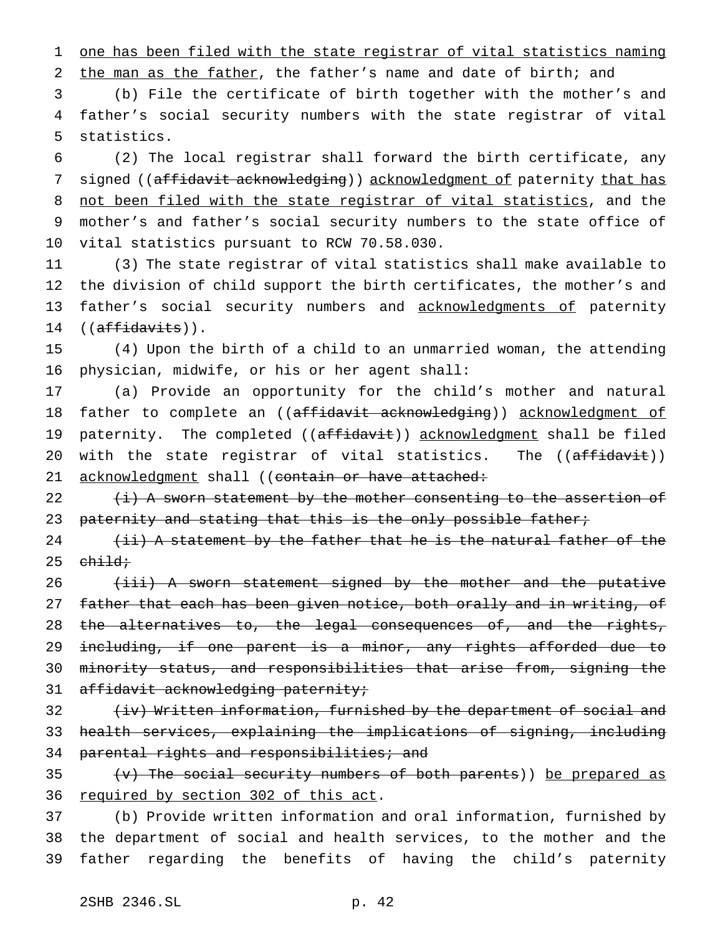1 one has been filed with the state registrar of vital statistics naming

2 the man as the father, the father's name and date of birth; and

3 (b) File the certificate of birth together with the mother's and 4 father's social security numbers with the state registrar of vital 5 statistics.

6 (2) The local registrar shall forward the birth certificate, any 7 signed ((affidavit acknowledging)) acknowledgment of paternity that has 8 not been filed with the state registrar of vital statistics, and the 9 mother's and father's social security numbers to the state office of 10 vital statistics pursuant to RCW 70.58.030.

 (3) The state registrar of vital statistics shall make available to the division of child support the birth certificates, the mother's and 13 father's social security numbers and acknowledgments of paternity  $((\text{affidavits}))$ .

15 (4) Upon the birth of a child to an unmarried woman, the attending 16 physician, midwife, or his or her agent shall:

17 (a) Provide an opportunity for the child's mother and natural 18 father to complete an ((affidavit acknowledging)) acknowledgment of 19 paternity. The completed ((affidavit)) acknowledgment shall be filed 20 with the state registrar of vital statistics. The ((affidavit)) 21 acknowledgment shall ((contain or have attached:

22  $\{i\}$  A sworn statement by the mother consenting to the assertion of 23 paternity and stating that this is the only possible father;

 $24$  (ii) A statement by the father that he is the natural father of the  $25$  child;

26 (iii) A sworn statement signed by the mother and the putative 27 father that each has been given notice, both orally and in writing, of 28 the alternatives to, the legal consequences of, and the rights, 29 including, if one parent is a minor, any rights afforded due to 30 minority status, and responsibilities that arise from, signing the 31 affidavit acknowledging paternity;

32 (iv) Written information, furnished by the department of social and 33 health services, explaining the implications of signing, including 34 parental rights and responsibilities; and

35  $\{v\}$  The social security numbers of both parents)) be prepared as 36 required by section 302 of this act.

37 (b) Provide written information and oral information, furnished by 38 the department of social and health services, to the mother and the 39 father regarding the benefits of having the child's paternity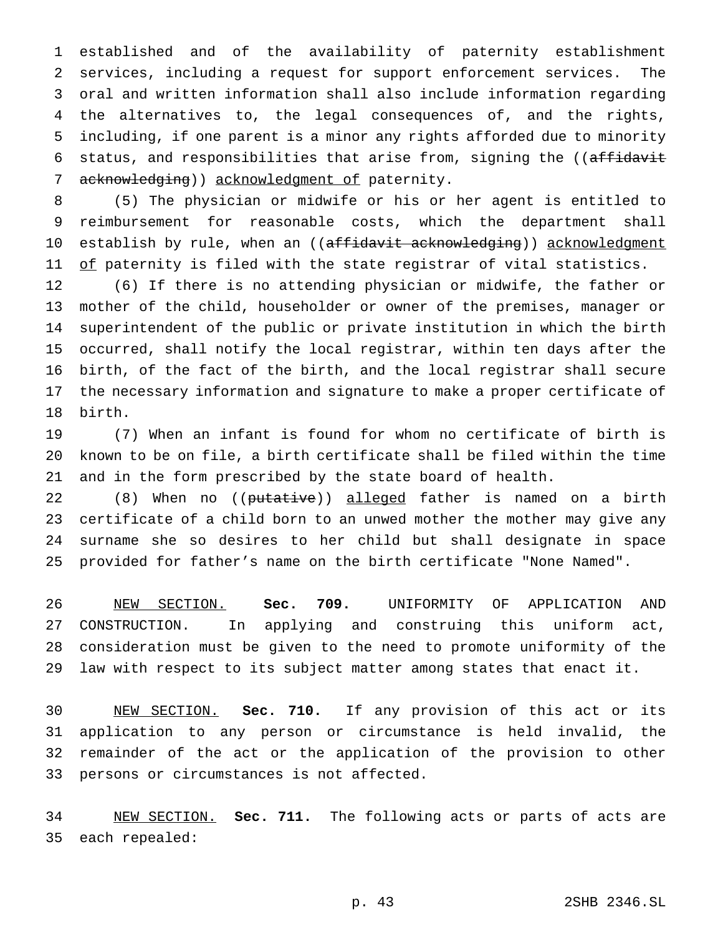established and of the availability of paternity establishment services, including a request for support enforcement services. The oral and written information shall also include information regarding the alternatives to, the legal consequences of, and the rights, including, if one parent is a minor any rights afforded due to minority 6 status, and responsibilities that arise from, signing the ((affidavit 7 acknowledging)) acknowledgment of paternity.

 (5) The physician or midwife or his or her agent is entitled to reimbursement for reasonable costs, which the department shall 10 establish by rule, when an ((affidavit acknowledging)) acknowledgment 11 of paternity is filed with the state registrar of vital statistics.

 (6) If there is no attending physician or midwife, the father or mother of the child, householder or owner of the premises, manager or superintendent of the public or private institution in which the birth occurred, shall notify the local registrar, within ten days after the birth, of the fact of the birth, and the local registrar shall secure the necessary information and signature to make a proper certificate of birth.

 (7) When an infant is found for whom no certificate of birth is known to be on file, a birth certificate shall be filed within the time and in the form prescribed by the state board of health.

22 (8) When no ((<del>putative</del>)) <u>alleged</u> father is named on a birth certificate of a child born to an unwed mother the mother may give any surname she so desires to her child but shall designate in space provided for father's name on the birth certificate "None Named".

 NEW SECTION. **Sec. 709.** UNIFORMITY OF APPLICATION AND CONSTRUCTION. In applying and construing this uniform act, consideration must be given to the need to promote uniformity of the law with respect to its subject matter among states that enact it.

 NEW SECTION. **Sec. 710.** If any provision of this act or its application to any person or circumstance is held invalid, the remainder of the act or the application of the provision to other persons or circumstances is not affected.

 NEW SECTION. **Sec. 711.** The following acts or parts of acts are each repealed: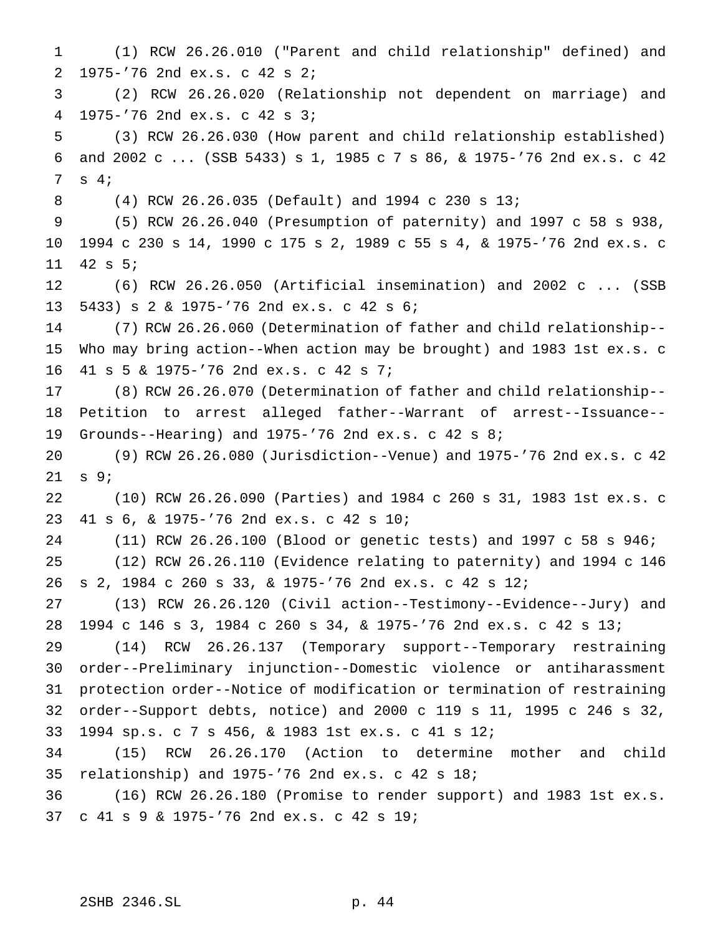(1) RCW 26.26.010 ("Parent and child relationship" defined) and 1975-'76 2nd ex.s. c 42 s 2; (2) RCW 26.26.020 (Relationship not dependent on marriage) and 1975-'76 2nd ex.s. c 42 s 3; (3) RCW 26.26.030 (How parent and child relationship established) and 2002 c ... (SSB 5433) s 1, 1985 c 7 s 86, & 1975-'76 2nd ex.s. c 42 s 4; (4) RCW 26.26.035 (Default) and 1994 c 230 s 13; (5) RCW 26.26.040 (Presumption of paternity) and 1997 c 58 s 938, 1994 c 230 s 14, 1990 c 175 s 2, 1989 c 55 s 4, & 1975-'76 2nd ex.s. c 42 s 5; (6) RCW 26.26.050 (Artificial insemination) and 2002 c ... (SSB 5433)s2& 1975-'76 2nd ex.s. c 42 s 6; (7) RCW 26.26.060 (Determination of father and child relationship-- Who may bring action--When action may be brought) and 1983 1st ex.s. c 41 s 5 & 1975-'76 2nd ex.s. c 42 s 7; (8) RCW 26.26.070 (Determination of father and child relationship-- Petition to arrest alleged father--Warrant of arrest--Issuance-- Grounds--Hearing) and 1975-'76 2nd ex.s. c 42 s 8; (9) RCW 26.26.080 (Jurisdiction--Venue) and 1975-'76 2nd ex.s. c 42 s 9; (10) RCW 26.26.090 (Parties) and 1984 c 260 s 31, 1983 1st ex.s. c 41 s 6, & 1975-'76 2nd ex.s. c 42 s 10; (11) RCW 26.26.100 (Blood or genetic tests) and 1997 c 58 s 946; (12) RCW 26.26.110 (Evidence relating to paternity) and 1994 c 146 s 2, 1984 c 260 s 33, & 1975-'76 2nd ex.s. c 42 s 12; (13) RCW 26.26.120 (Civil action--Testimony--Evidence--Jury) and 1994 c 146 s 3, 1984 c 260 s 34, & 1975-'76 2nd ex.s. c 42 s 13; (14) RCW 26.26.137 (Temporary support--Temporary restraining order--Preliminary injunction--Domestic violence or antiharassment protection order--Notice of modification or termination of restraining order--Support debts, notice) and 2000 c 119 s 11, 1995 c 246 s 32, 1994 sp.s.c7s 456, & 1983 1st ex.s. c 41 s 12; (15) RCW 26.26.170 (Action to determine mother and child relationship) and 1975-'76 2nd ex.s. c 42 s 18; (16) RCW 26.26.180 (Promise to render support) and 1983 1st ex.s. c 41 s 9 & 1975-'76 2nd ex.s. c 42 s 19;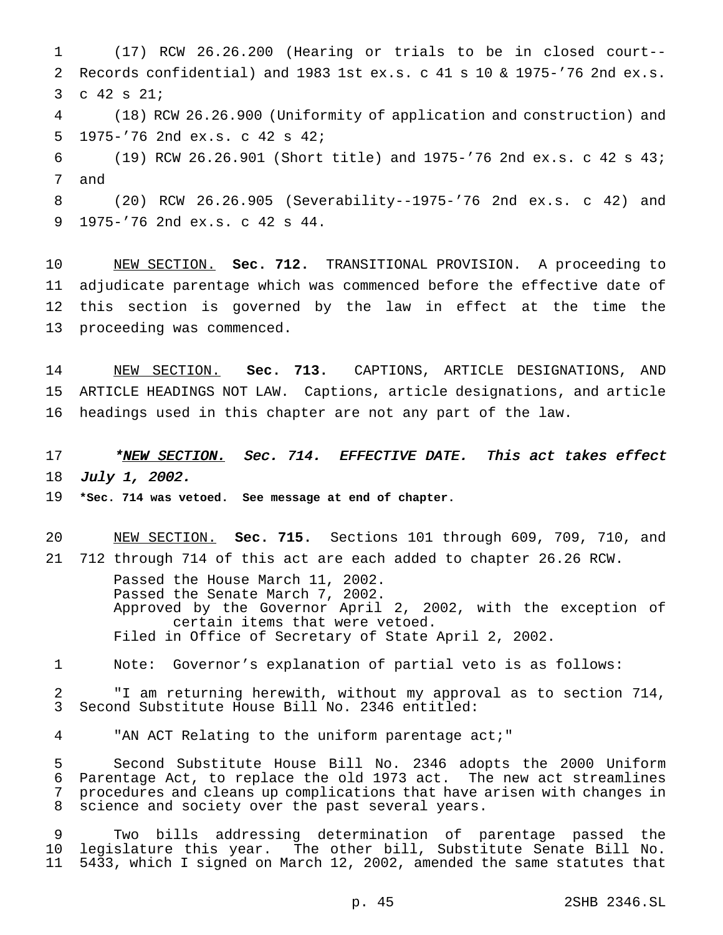(17) RCW 26.26.200 (Hearing or trials to be in closed court-- Records confidential) and 1983 1st ex.s. c 41 s 10 & 1975-'76 2nd ex.s. c 42 s 21; (18) RCW 26.26.900 (Uniformity of application and construction) and 1975-'76 2nd ex.s. c 42 s 42; (19) RCW 26.26.901 (Short title) and 1975-'76 2nd ex.s. c 42 s 43; and (20) RCW 26.26.905 (Severability--1975-'76 2nd ex.s. c 42) and 1975-'76 2nd ex.s. c 42 s 44.

 NEW SECTION. **Sec. 712.** TRANSITIONAL PROVISION. A proceeding to adjudicate parentage which was commenced before the effective date of this section is governed by the law in effect at the time the proceeding was commenced.

 NEW SECTION. **Sec. 713.** CAPTIONS, ARTICLE DESIGNATIONS, AND ARTICLE HEADINGS NOT LAW. Captions, article designations, and article headings used in this chapter are not any part of the law.

17 \*NEW SECTION. Sec. 714. EFFECTIVE DATE. This act takes effect July 1, 2002.

**\*Sec. 714 was vetoed. See message at end of chapter.**

 NEW SECTION. **Sec. 715.** Sections 101 through 609, 709, 710, and 712 through 714 of this act are each added to chapter 26.26 RCW.

> Passed the House March 11, 2002. Passed the Senate March 7, 2002. Approved by the Governor April 2, 2002, with the exception of certain items that were vetoed. Filed in Office of Secretary of State April 2, 2002.

Note: Governor's explanation of partial veto is as follows:

 "I am returning herewith, without my approval as to section 714, Second Substitute House Bill No. 2346 entitled:

"AN ACT Relating to the uniform parentage act;"

 Second Substitute House Bill No. 2346 adopts the 2000 Uniform Parentage Act, to replace the old 1973 act. The new act streamlines procedures and cleans up complications that have arisen with changes in science and society over the past several years.

 Two bills addressing determination of parentage passed the legislature this year. The other bill, Substitute Senate Bill No. 5433, which I signed on March 12, 2002, amended the same statutes that